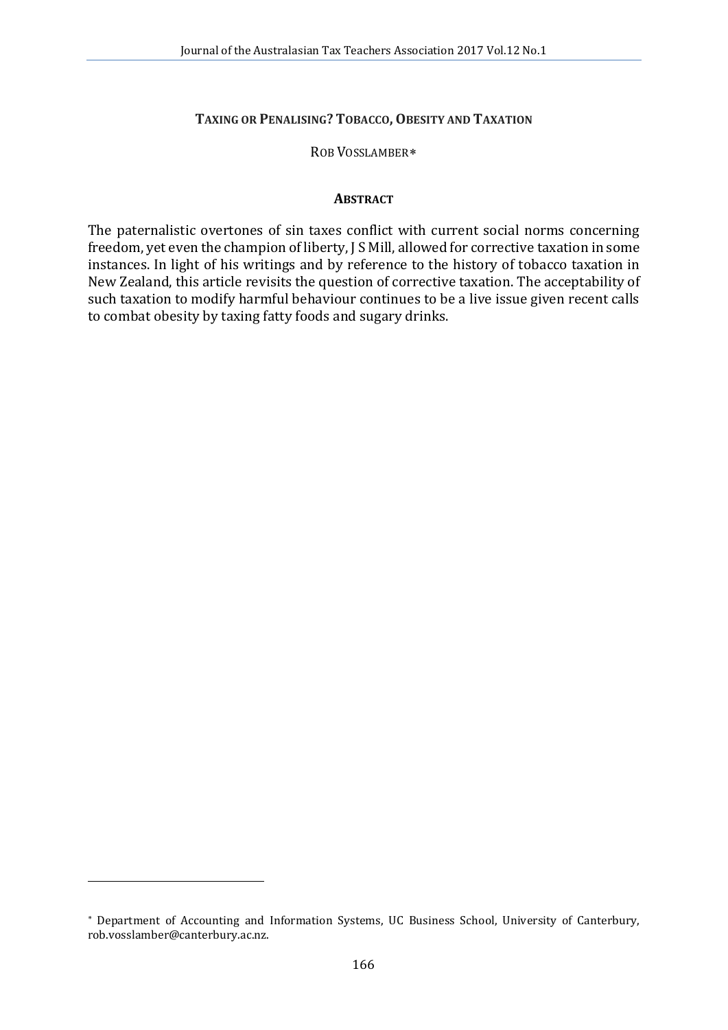### **TAXING OR PENALISING? TOBACCO, OBESITY AND TAXATION**

#### ROB VOSSLAMBER[∗](#page-0-0)

#### **ABSTRACT**

The paternalistic overtones of sin taxes conflict with current social norms concerning freedom, yet even the champion of liberty, J S Mill, allowed for corrective taxation in some instances. In light of his writings and by reference to the history of tobacco taxation in New Zealand, this article revisits the question of corrective taxation. The acceptability of such taxation to modify harmful behaviour continues to be a live issue given recent calls to combat obesity by taxing fatty foods and sugary drinks.

<span id="page-0-0"></span><sup>∗</sup> Department of Accounting and Information Systems, UC Business School, University of Canterbury, rob.vosslamber@canterbury.ac.nz.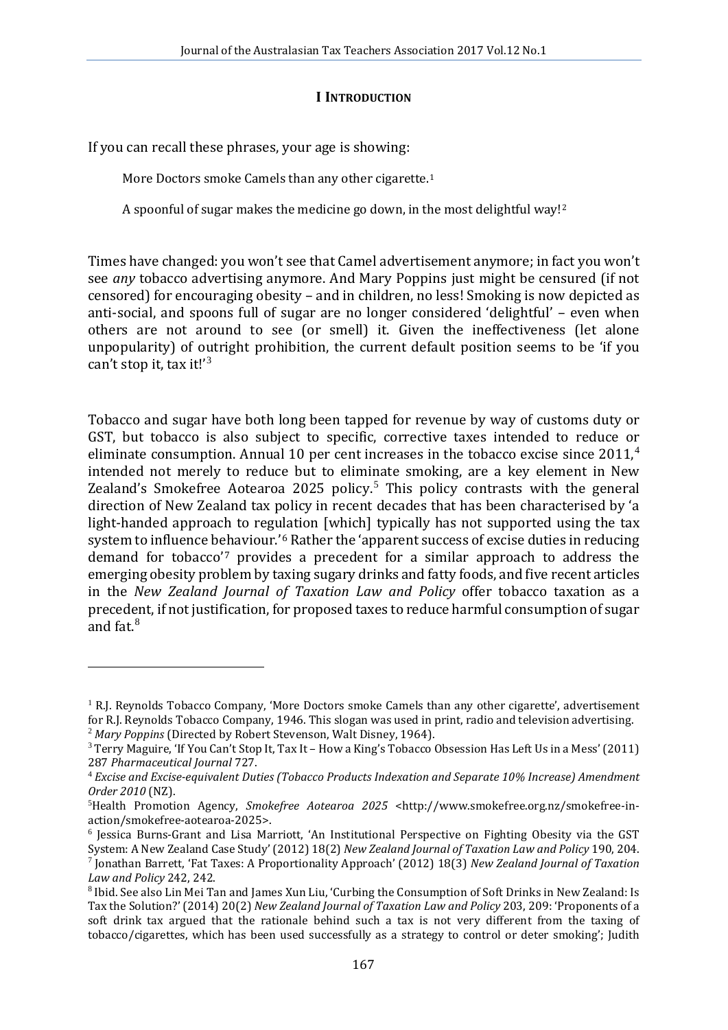#### **I INTRODUCTION**

If you can recall these phrases, your age is showing:

i,

More Doctors smoke Camels than any other cigarette.<sup>[1](#page-1-0)</sup>

A spoonful of sugar makes the medicine go down, in the most delightful way![2](#page-1-1)

Times have changed: you won't see that Camel advertisement anymore; in fact you won't see *any* tobacco advertising anymore. And Mary Poppins just might be censured (if not censored) for encouraging obesity – and in children, no less! Smoking is now depicted as anti-social, and spoons full of sugar are no longer considered 'delightful' – even when others are not around to see (or smell) it. Given the ineffectiveness (let alone unpopularity) of outright prohibition, the current default position seems to be 'if you can't stop it, tax it!' [3](#page-1-2)

Tobacco and sugar have both long been tapped for revenue by way of customs duty or GST, but tobacco is also subject to specific, corrective taxes intended to reduce or eliminate consumption. Annual 10 per cent increases in the tobacco excise since 2011,<sup>[4](#page-1-3)</sup> intended not merely to reduce but to eliminate smoking, are a key element in New Zealand's Smokefree Aotearoa 202[5](#page-1-4) policy.<sup>5</sup> This policy contrasts with the general direction of New Zealand tax policy in recent decades that has been characterised by 'a light-handed approach to regulation [which] typically has not supported using the tax system to influence behaviour.'[6](#page-1-5) Rather the 'apparent success of excise duties in reducing demand for tobacco'[7](#page-1-6) provides a precedent for a similar approach to address the emerging obesity problem by taxing sugary drinks and fatty foods, and five recent articles in the *New Zealand Journal of Taxation Law and Policy* offer tobacco taxation as a precedent, if not justification, for proposed taxes to reduce harmful consumption of sugar and fat.[8](#page-1-7)

<span id="page-1-0"></span><sup>&</sup>lt;sup>1</sup> R.J. Reynolds Tobacco Company, 'More Doctors smoke Camels than any other cigarette', advertisement for R.I. Reynolds Tobacco Company, 1946. This slogan was used in print, radio and television advertising.

<span id="page-1-2"></span><span id="page-1-1"></span><sup>&</sup>lt;sup>2</sup> Mary Poppins (Directed by Robert Stevenson, Walt Disney, 1964).<br><sup>3</sup> Terry Maguire, 'If You Can't Stop It, Tax It – How a King's Tobacco Obsession Has Left Us in a Mess' (2011)<br>287 Pharmaceutical Journal 727.

<span id="page-1-3"></span><sup>&</sup>lt;sup>4</sup> Excise and Excise-equivalent Duties (Tobacco Products Indexation and Separate 10% Increase) Amendment *Order 2010* (NZ). <sup>5</sup>

<span id="page-1-4"></span><sup>&</sup>lt;sup>5</sup>Health Promotion Agency, *Smokefree Aotearoa 2025* <http://www.smokefree.org.nz/smokefree-in-action/smokefree-aotearoa-2025>.

<span id="page-1-5"></span> $6$  Jessica Burns-Grant and Lisa Marriott, 'An Institutional Perspective on Fighting Obesity via the GST System: A New Zealand Case Study' (2012) 18(2) New Zealand Journal of Taxation Law and Policy 190, 204. <sup>7</sup> Jonathan Barrett, 'Fat Taxes: A Proportionality Approach' (2012) 18(3) *New Zealand Journal of Taxation Law and Policy* 242. 242.

<span id="page-1-7"></span><span id="page-1-6"></span><sup>&</sup>lt;sup>8</sup> Ibid. See also Lin Mei Tan and James Xun Liu, 'Curbing the Consumption of Soft Drinks in New Zealand: Is Tax the Solution?' (2014) 20(2) *New Zealand Journal of Taxation Law and Policy* 203, 209: 'Proponents of a soft drink tax argued that the rationale behind such a tax is not very different from the taxing of tobacco/cigarettes, which has been used successfully as a strategy to control or deter smoking'; Judith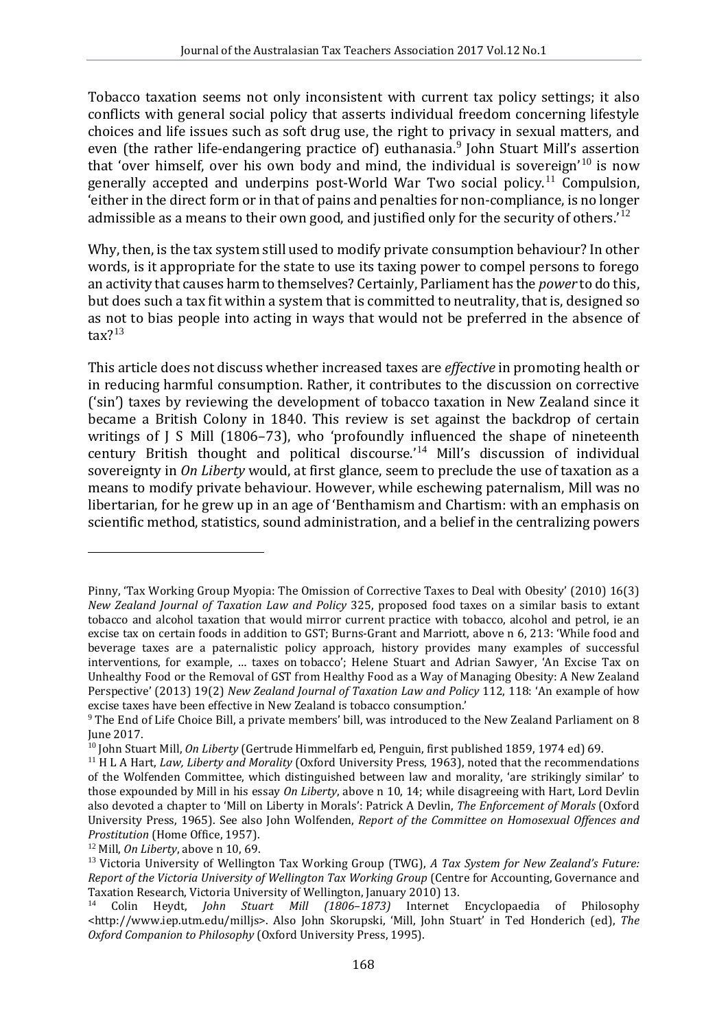Tobacco taxation seems not only inconsistent with current tax policy settings; it also conflicts with general social policy that asserts individual freedom concerning lifestyle choices and life issues such as soft drug use, the right to privacy in sexual matters, and even (the rather life-endangering practice of) euthanasia.<sup>[9](#page-2-0)</sup> John Stuart Mill's assertion that 'over himself, over his own body and mind, the individual is sovereign'<sup>[10](#page-2-1)</sup> is now generally accepted and underpins post-World War Two social policy.[11](#page-2-2) Compulsion, 'either in the direct form or in that of pains and penalties for non-compliance, is no longer admissible as a means to their own good, and justified only for the security of others.'<sup>[12](#page-2-3)</sup>

Why, then, is the tax system still used to modify private consumption behaviour? In other words, is it appropriate for the state to use its taxing power to compel persons to forego an activity that causes harm to themselves? Certainly, Parliament has the *power* to do this, but does such a tax fit within a system that is committed to neutrality, that is, designed so as not to bias people into acting in ways that would not be preferred in the absence of  $\text{tax}$ ?<sup>[13](#page-2-4)</sup>

This article does not discuss whether increased taxes are *effective* in promoting health or in reducing harmful consumption. Rather, it contributes to the discussion on corrective ('sin') taxes by reviewing the development of tobacco taxation in New Zealand since it became a British Colony in 1840. This review is set against the backdrop of certain writings of J S Mill (1806–73), who 'profoundly influenced the shape of nineteenth century British thought and political discourse.' [14](#page-2-5) Mill's discussion of individual sovereignty in *On Liberty* would, at first glance, seem to preclude the use of taxation as a means to modify private behaviour. However, while eschewing paternalism, Mill was no libertarian, for he grew up in an age of 'Benthamism and Chartism: with an emphasis on scientific method, statistics, sound administration, and a belief in the centralizing powers

Pinny, 'Tax Working Group Myopia: The Omission of Corrective Taxes to Deal with Obesity' (2010) 16(3) *New Zealand Journal of Taxation Law and Policy* 325, proposed food taxes on a similar basis to extant tobacco and alcohol taxation that would mirror current practice with tobacco, alcohol and petrol, ie an excise tax on certain foods in addition to GST; Burns-Grant and Marriott, above n 6, 213: 'While food and beverage taxes are a paternalistic policy approach, history provides many examples of successful interventions, for example, … taxes on tobacco'; Helene Stuart and Adrian Sawyer, 'An Excise Tax on Unhealthy Food or the Removal of GST from Healthy Food as a Way of Managing Obesity: A New Zealand Perspective' (2013) 19(2) *New Zealand Journal of Taxation Law and Policy* 112, 118: 'An example of how excise taxes have been effective in New Zealand is tobacco consumption.'

<span id="page-2-0"></span><sup>&</sup>lt;sup>9</sup> The End of Life Choice Bill, a private members' bill, was introduced to the New Zealand Parliament on 8 June 2017.

<span id="page-2-1"></span><sup>&</sup>lt;sup>10</sup> John Stuart Mill, On Liberty (Gertrude Himmelfarb ed, Penguin, first published 1859, 1974 ed) 69.<br><sup>11</sup> H L A Hart, *Law, Liberty and Morality* (Oxford University Press, 1963), noted that the recommendations

<span id="page-2-2"></span>of the Wolfenden Committee, which distinguished between law and morality, 'are strikingly similar' to those expounded by Mill in his essay *On Liberty*, above n 10, 14; while disagreeing with Hart, Lord Devlin also devoted a chapter to 'Mill on Liberty in Morals': Patrick A Devlin, *The Enforcement of Morals* (Oxford University Press, 1965). See also John Wolfenden, *Report of the Committee on Homosexual Offences and* 

<span id="page-2-4"></span><span id="page-2-3"></span><sup>&</sup>lt;sup>12</sup> Mill, *On Liberty*, above n 10, 69.<br><sup>13</sup> Victoria University of Wellington Tax Working Group (TWG), *A Tax System for New Zealand's Future: Report of the Victoria University of Wellington Tax Working Group* (Centre for Accounting, Governance and Taxation Research, Victoria University of Wellington, January 2010) 13.

<span id="page-2-5"></span><sup>&</sup>lt;sup>14</sup> Colin Heydt, *John Stuart Mill (1806–1873)* Internet Encyclopaedia of Philosophy <http://www.iep.utm.edu/milljs>. Also John Skorupski, 'Mill, John Stuart' in Ted Honderich (ed), *The Oxford Companion to Philosophy* (Oxford University Press, 1995).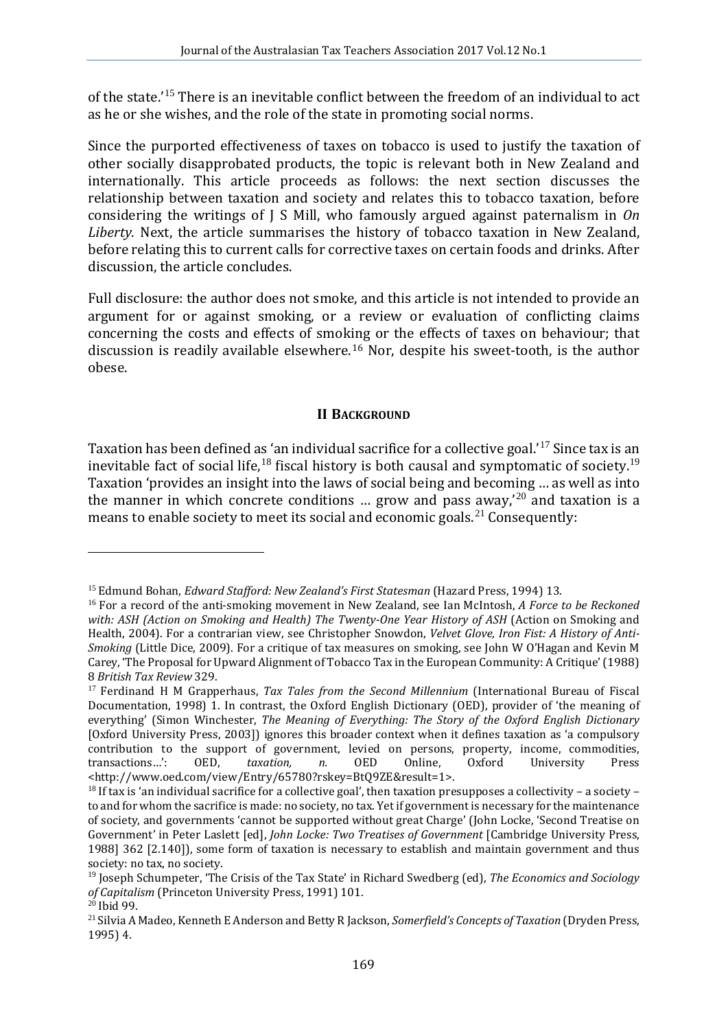of the state.<sup>'[15](#page-3-0)</sup> There is an inevitable conflict between the freedom of an individual to act as he or she wishes, and the role of the state in promoting social norms.

Since the purported effectiveness of taxes on tobacco is used to justify the taxation of other socially disapprobated products, the topic is relevant both in New Zealand and internationally. This article proceeds as follows: the next section discusses the relationship between taxation and society and relates this to tobacco taxation, before considering the writings of J S Mill, who famously argued against paternalism in *On Liberty.* Next, the article summarises the history of tobacco taxation in New Zealand, before relating this to current calls for corrective taxes on certain foods and drinks. After discussion, the article concludes.

Full disclosure: the author does not smoke, and this article is not intended to provide an argument for or against smoking, or a review or evaluation of conflicting claims concerning the costs and effects of smoking or the effects of taxes on behaviour; that discussion is readily available elsewhere.[16](#page-3-1) Nor, despite his sweet-tooth, is the author obese.

## **II BACKGROUND**

Taxation has been defined as 'an individual sacrifice for a collective goal.'<sup>[17](#page-3-2)</sup> Since tax is an inevitable fact of social life,<sup>[18](#page-3-3)</sup> fiscal history is both causal and symptomatic of society.<sup>[19](#page-3-4)</sup> Taxation 'provides an insight into the laws of social being and becoming … as well as into the manner in which concrete conditions ... grow and pass  $a_{\text{way}}$ ,  $20$  and taxation is a means to enable society to meet its social and economic goals.<sup>[21](#page-3-6)</sup> Consequently:

<span id="page-3-1"></span><span id="page-3-0"></span><sup>&</sup>lt;sup>15</sup> Edmund Bohan, *Edward Stafford: New Zealand's First Statesman* (Hazard Press, 1994) 13.<br><sup>16</sup> For a record of the anti-smoking movement in New Zealand, see Ian McIntosh, *A Force to be Reckoned with: ASH (Action on Smoking and Health) The Twenty-One Year History of ASH* (Action on Smoking and Health, 2004). For a contrarian view, see Christopher Snowdon, *Velvet Glove, Iron Fist: A History of Anti-Smoking* (Little Dice, 2009). For a critique of tax measures on smoking, see John W O'Hagan and Kevin M Carey, 'The Proposal for Upward Alignment of Tobacco Tax in the European Community: A Critique' (1988)

<span id="page-3-2"></span><sup>&</sup>lt;sup>17</sup> Ferdinand H M Grapperhaus, *Tax Tales from the Second Millennium* (International Bureau of Fiscal Documentation, 1998) 1. In contrast, the Oxford English Dictionary (OED), provider of 'the meaning of everything' (Simon Winchester, *The Meaning of Everything: The Story of the Oxford English Dictionary* [Oxford University Press, 2003]) ignores this broader context when it defines taxation as 'a compulsory contribution to the support of government, levied on persons, property, income, commodities, transactions...':  $OED$ ,  $taxation$ ,  $n$ ,  $OED$ ,  $Online$ ,  $Oxford$ ,  $University$ ,  $Press$ transactions...': <http://www.oed.com/view/Entry/65780?rskey=BtQ9ZE&result=1>.

<span id="page-3-3"></span> $18$  If tax is 'an individual sacrifice for a collective goal', then taxation presupposes a collectivity – a society – to and for whom the sacrifice is made: no society, no tax. Yet if government is necessary for the maintenance of society, and governments 'cannot be supported without great Charge' (John Locke, 'Second Treatise on Government' in Peter Laslett [ed], *John Locke: Two Treatises of Government* [Cambridge University Press, 1988] 362 [2.140]), some form of taxation is necessary to establish and maintain government and thus society: no tax, no society.

<span id="page-3-4"></span><sup>&</sup>lt;sup>19</sup> Joseph Schumpeter, 'The Crisis of the Tax State' in Richard Swedberg (ed), *The Economics and Sociology* of Capitalism (Princeton University Press, 1991) 101.

<span id="page-3-6"></span><span id="page-3-5"></span>*of Capitalism* (Princeton University Press, 1991) 101. <sup>20</sup> Ibid 99. <sup>21</sup> Silvia A Madeo, Kenneth E Anderson and Betty R Jackson, *Somerfield's Concepts of Taxation* (Dryden Press, 1995) 4.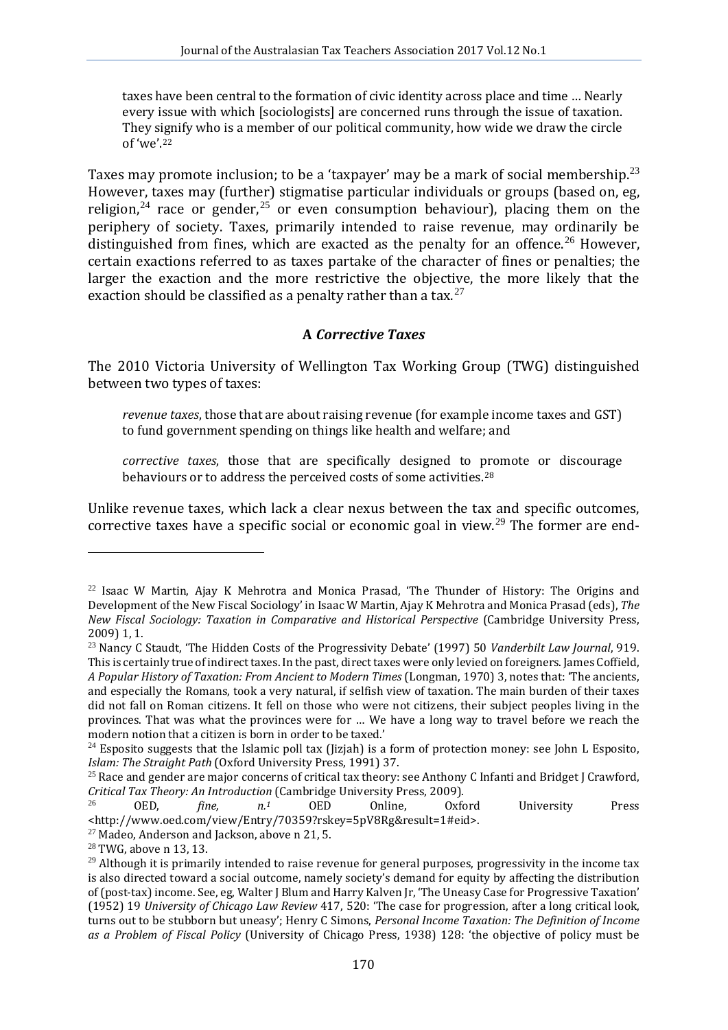taxes have been central to the formation of civic identity across place and time … Nearly every issue with which [sociologists] are concerned runs through the issue of taxation. They signify who is a member of our political community, how wide we draw the circle of 'we'.[22](#page-4-0)

Taxes may promote inclusion; to be a 'taxpayer' may be a mark of social membership.<sup>[23](#page-4-1)</sup> However, taxes may (further) stigmatise particular individuals or groups (based on, eg, religion,<sup>[24](#page-4-2)</sup> race or gender,<sup>[25](#page-4-3)</sup> or even consumption behaviour), placing them on the periphery of society. Taxes, primarily intended to raise revenue, may ordinarily be distinguished from fines, which are exacted as the penalty for an offence.<sup>[26](#page-4-4)</sup> However, certain exactions referred to as taxes partake of the character of fines or penalties; the larger the exaction and the more restrictive the objective, the more likely that the exaction should be classified as a penalty rather than a tax.  $27$ 

## **A** *Corrective Taxes*

The 2010 Victoria University of Wellington Tax Working Group (TWG) distinguished between two types of taxes:

*revenue taxes*, those that are about raising revenue (for example income taxes and GST) to fund government spending on things like health and welfare; and

*corrective taxes*, those that are specifically designed to promote or discourage behaviours or to address the perceived costs of some activities[.28](#page-4-6)

Unlike revenue taxes, which lack a clear nexus between the tax and specific outcomes, corrective taxes have a specific social or economic goal in view.<sup>[29](#page-4-7)</sup> The former are end-

<span id="page-4-0"></span> $22$  Isaac W Martin, Ajay K Mehrotra and Monica Prasad, 'The Thunder of History: The Origins and Development of the New Fiscal Sociology' in Isaac W Martin, Ajay K Mehrotra and Monica Prasad (eds), *The New Fiscal Sociology: Taxation in Comparative and Historical Perspective* (Cambridge University Press, 2009) 1, 1.

<span id="page-4-1"></span><sup>23</sup> Nancy C Staudt, 'The Hidden Costs of the Progressivity Debate' (1997) 50 *Vanderbilt Law Journal*, 919. This is certainly true of indirect taxes. In the past, direct taxes were only levied on foreigners. James Coffield, *A Popular History of Taxation: From Ancient to Modern Times* (Longman, 1970) 3, notes that: 'The ancients, and especially the Romans, took a very natural, if selfish view of taxation. The main burden of their taxes did not fall on Roman citizens. It fell on those who were not citizens, their subject peoples living in the provinces. That was what the provinces were for … We have a long way to travel before we reach the

<span id="page-4-2"></span><sup>&</sup>lt;sup>24</sup> Esposito suggests that the Islamic poll tax (Jizjah) is a form of protection money: see John L Esposito, *Islam: The Straight Path* (Oxford University Press, 1991) 37.

<span id="page-4-3"></span><sup>&</sup>lt;sup>25</sup> Race and gender are major concerns of critical tax theory: see Anthony C Infanti and Bridget J Crawford, *Critical Tax Theory: An Introduction* (Cambridge University Press, 2009).<br><sup>26</sup> OED, *fine, n.<sup>1</sup>* OED Online, Oxford University Press

<span id="page-4-4"></span> $\text{chttp:} // www.oed.com/view/Entry/70359?rskey=5pV8Rg&result=1#eid>27 Madeo, Anderson and Jackson, above n 21, 5.$ <sup>28</sup> TWG, above n 13, 13.

<span id="page-4-5"></span>

<span id="page-4-7"></span><span id="page-4-6"></span> $29$  Although it is primarily intended to raise revenue for general purposes, progressivity in the income tax is also directed toward a social outcome, namely society's demand for equity by affecting the distribution of (post-tax) income. See, eg, Walter J Blum and Harry Kalven Jr, 'The Uneasy Case for Progressive Taxation' (1952) 19 *University of Chicago Law Review* 417, 520: 'The case for progression, after a long critical look, turns out to be stubborn but uneasy'; Henry C Simons, *Personal Income Taxation: The Definition of Income as a Problem of Fiscal Policy* (University of Chicago Press, 1938) 128: 'the objective of policy must be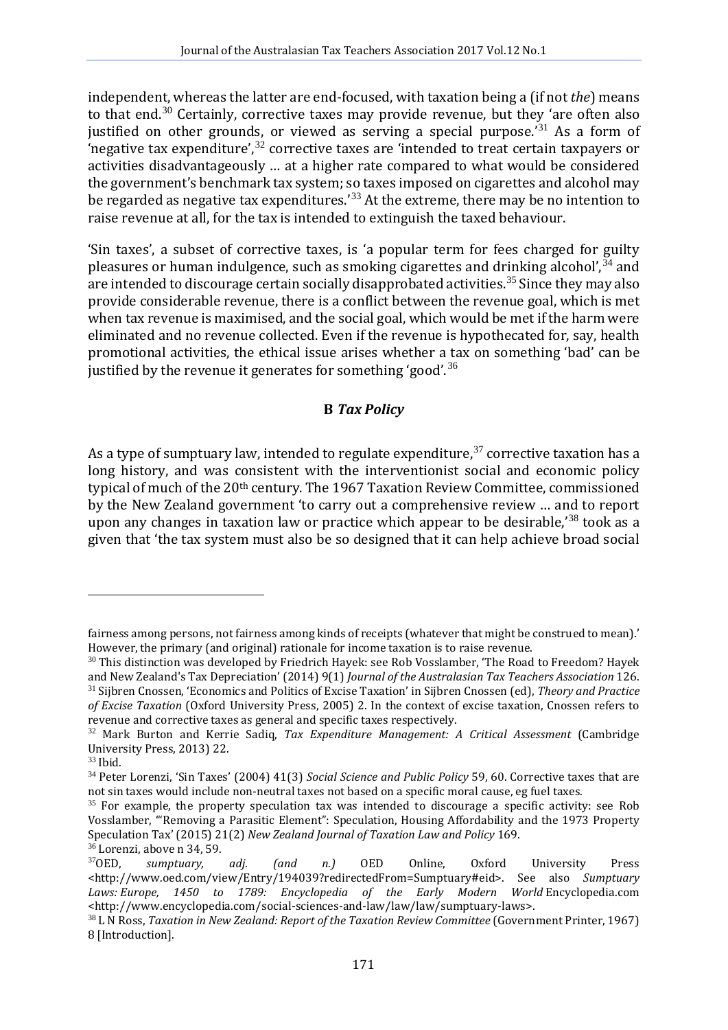independent, whereas the latter are end-focused, with taxation being a (if not *the*) means to that end.<sup>[30](#page-5-0)</sup> Certainly, corrective taxes may provide revenue, but they 'are often also justified on other grounds, or viewed as serving a special purpose.<sup>'[31](#page-5-1)</sup> As a form of 'negative tax expenditure', [32](#page-5-2) corrective taxes are 'intended to treat certain taxpayers or activities disadvantageously … at a higher rate compared to what would be considered the government's benchmark tax system; so taxes imposed on cigarettes and alcohol may be regarded as negative tax expenditures.' [33](#page-5-3) At the extreme, there may be no intention to raise revenue at all, for the tax is intended to extinguish the taxed behaviour.

'Sin taxes', a subset of corrective taxes, is 'a popular term for fees charged for guilty pleasures or human indulgence, such as smoking cigarettes and drinking alcohol',  $34$  and are intended to discourage certain socially disapprobated activities.<sup>[35](#page-5-5)</sup> Since they may also provide considerable revenue, there is a conflict between the revenue goal, which is met when tax revenue is maximised, and the social goal, which would be met if the harm were eliminated and no revenue collected. Even if the revenue is hypothecated for, say, health promotional activities, the ethical issue arises whether a tax on something 'bad' can be justified by the revenue it generates for something 'good'.<sup>[36](#page-5-6)</sup>

# **B** *Tax Policy*

As a type of sumptuary law, intended to regulate expenditure, $37$  corrective taxation has a long history, and was consistent with the interventionist social and economic policy typical of much of the 20th century. The 1967 Taxation Review Committee, commissioned by the New Zealand government 'to carry out a comprehensive review … and to report upon any changes in taxation law or practice which appear to be desirable,<sup>[38](#page-5-8)</sup> took as a given that 'the tax system must also be so designed that it can help achieve broad social

fairness among persons, not fairness among kinds of receipts (whatever that might be construed to mean).' However, the primary (and original) rationale for income taxation is to raise revenue.

<span id="page-5-1"></span><span id="page-5-0"></span> $^{30}$  This distinction was developed by Friedrich Hayek: see Rob Vosslamber, 'The Road to Freedom? Hayek and New Zealand's Tax Depreciation' (2014) 9(1) *Journal of the Australasian Tax Teachers Association* 126. <sup>31</sup> Sijbren Cnossen, 'Economics and Politics of Excise Taxation' in Sijbren Cnossen (ed), Theory and Practice *of Excise Taxation* (Oxford University Press, 2005) 2. In the context of excise taxation, Cnossen refers to

<span id="page-5-2"></span><sup>&</sup>lt;sup>32</sup> Mark Burton and Kerrie Sadiq, *Tax Expenditure Management: A Critical Assessment* (Cambridge University Press, 2013) 22.<br><sup>33</sup> Ibid.

<span id="page-5-4"></span><span id="page-5-3"></span><sup>&</sup>lt;sup>34</sup> Peter Lorenzi, 'Sin Taxes' (2004) 41(3) *Social Science and Public Policy* 59, 60. Corrective taxes that are not sin taxes would include non-neutral taxes not based on a specific moral cause, eg fuel taxes.

<span id="page-5-5"></span> $35$  For example, the property speculation tax was intended to discourage a specific activity: see Rob Vosslamber, '"Removing a Parasitic Element": Speculation, Housing Affordability and the 1973 Property Speculation Tax' (2015) 21(2) *New Zealand Journal of Taxation Law and Policy* 169.<br><sup>36</sup> Lorenzi, above n 34, 59. <br><sup>37</sup>OED, *sumptuary, adj. (and n.)* OED Online, Oxford University Press

<span id="page-5-7"></span><span id="page-5-6"></span><sup>&</sup>lt;http://www.oed.com/view/Entry/194039?redirectedFrom=Sumptuary#eid>. See also *Sumptuary Laws: Europe, 1450 to 1789: Encyclopedia of the Early Modern World* Encyclopedia.com

<span id="page-5-8"></span><sup>&</sup>lt;sup>38</sup> L N Ross, *Taxation in New Zealand: Report of the Taxation Review Committee* (Government Printer, 1967) 8 [Introduction].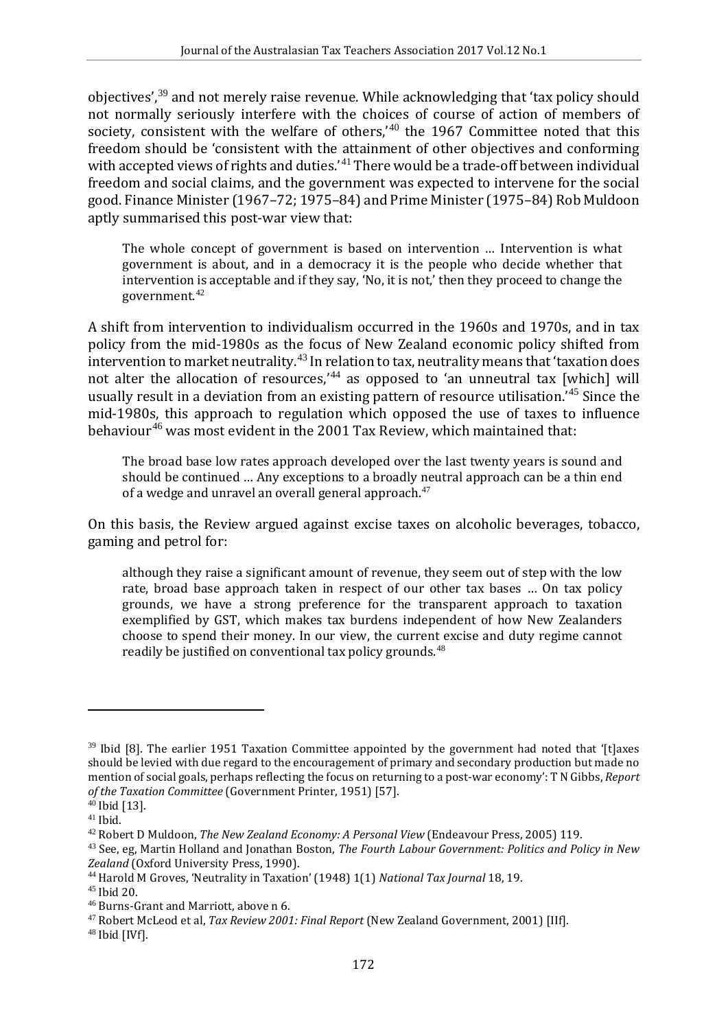objectives', [39](#page-6-0) and not merely raise revenue. While acknowledging that 'tax policy should not normally seriously interfere with the choices of course of action of members of society, consistent with the welfare of others,  $40$  the 1967 Committee noted that this freedom should be 'consistent with the attainment of other objectives and conforming with accepted views of rights and duties.' [41](#page-6-2) There would be a trade-off between individual freedom and social claims, and the government was expected to intervene for the social good. Finance Minister (1967–72; 1975–84) and Prime Minister (1975–84) Rob Muldoon aptly summarised this post-war view that:

The whole concept of government is based on intervention … Intervention is what government is about, and in a democracy it is the people who decide whether that intervention is acceptable and if they say, 'No, it is not,' then they proceed to change the government.[42](#page-6-3)

A shift from intervention to individualism occurred in the 1960s and 1970s, and in tax policy from the mid-1980s as the focus of New Zealand economic policy shifted from intervention to market neutrality.<sup>[43](#page-6-4)</sup> In relation to tax, neutrality means that 'taxation does not alter the allocation of resources,<sup> $44$ </sup> as opposed to 'an unneutral tax [which] will usually result in a deviation from an existing pattern of resource utilisation.' [45](#page-6-6) Since the mid-1980s, this approach to regulation which opposed the use of taxes to influence behaviour<sup>[46](#page-6-7)</sup> was most evident in the 2001 Tax Review, which maintained that:

The broad base low rates approach developed over the last twenty years is sound and should be continued … Any exceptions to a broadly neutral approach can be a thin end of a wedge and unravel an overall general approach.<sup>[47](#page-6-8)</sup>

On this basis, the Review argued against excise taxes on alcoholic beverages, tobacco, gaming and petrol for:

although they raise a significant amount of revenue, they seem out of step with the low rate, broad base approach taken in respect of our other tax bases … On tax policy grounds, we have a strong preference for the transparent approach to taxation exemplified by GST, which makes tax burdens independent of how New Zealanders choose to spend their money. In our view, the current excise and duty regime cannot readily be justified on conventional tax policy grounds. $^{48}$  $^{48}$  $^{48}$ 

<span id="page-6-0"></span> $39$  Ibid [8]. The earlier 1951 Taxation Committee appointed by the government had noted that '[t]axes should be levied with due regard to the encouragement of primary and secondary production but made no mention of social goals, perhaps reflecting the focus on returning to a post-war economy': T N Gibbs, *Report* 

<span id="page-6-2"></span>

<span id="page-6-4"></span><span id="page-6-3"></span>

<span id="page-6-1"></span><sup>&</sup>lt;sup>40</sup> Ibid [13].<br><sup>41</sup> Ibid.<br><sup>42</sup> Robert D Muldoon, *The New Zealand Economy: A Personal View* (Endeavour Press, 2005) 119.<br><sup>43</sup> See, eg, Martin Holland and Jonathan Boston, *The Fourth Labour Government: Politics and Polic* 

<span id="page-6-7"></span>

<span id="page-6-6"></span><span id="page-6-5"></span><sup>&</sup>lt;sup>44</sup> Harold M Groves, 'Neutrality in Taxation' (1948) 1(1) *National Tax Journal* 18, 19.<br><sup>45</sup> Ibid 20.<br><sup>46</sup> Burns-Grant and Marriott, above n 6.<br><sup>47</sup> Robert McLeod et al, *Tax Review 2001: Final Report* (New Zealand Gove

<span id="page-6-9"></span><span id="page-6-8"></span>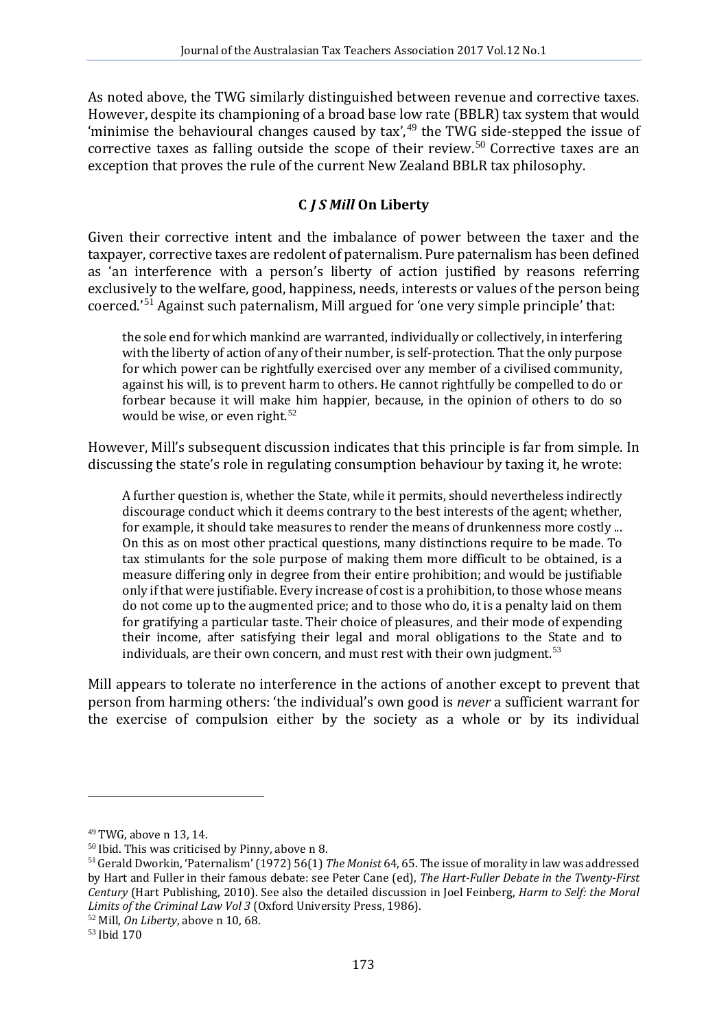As noted above, the TWG similarly distinguished between revenue and corrective taxes. However, despite its championing of a broad base low rate (BBLR) tax system that would 'minimise the behavioural changes caused by  $\text{tax}'$ , <sup>[49](#page-7-0)</sup> the TWG side-stepped the issue of corrective taxes as falling outside the scope of their review.<sup>[50](#page-7-1)</sup> Corrective taxes are an exception that proves the rule of the current New Zealand BBLR tax philosophy.

# **C** *J S Mill* **On Liberty**

Given their corrective intent and the imbalance of power between the taxer and the taxpayer, corrective taxes are redolent of paternalism. Pure paternalism has been defined as 'an interference with a person's liberty of action justified by reasons referring exclusively to the welfare, good, happiness, needs, interests or values of the person being coerced.' [51](#page-7-2) Against such paternalism, Mill argued for 'one very simple principle' that:

the sole end for which mankind are warranted, individually or collectively, in interfering with the liberty of action of any of their number, is self-protection. That the only purpose for which power can be rightfully exercised over any member of a civilised community, against his will, is to prevent harm to others. He cannot rightfully be compelled to do or forbear because it will make him happier, because, in the opinion of others to do so would be wise, or even right.<sup>[52](#page-7-3)</sup>

However, Mill's subsequent discussion indicates that this principle is far from simple. In discussing the state's role in regulating consumption behaviour by taxing it, he wrote:

A further question is, whether the State, while it permits, should nevertheless indirectly discourage conduct which it deems contrary to the best interests of the agent; whether, for example, it should take measures to render the means of drunkenness more costly ... On this as on most other practical questions, many distinctions require to be made. To tax stimulants for the sole purpose of making them more difficult to be obtained, is a measure differing only in degree from their entire prohibition; and would be justifiable only if that were justifiable. Every increase of cost is a prohibition, to those whose means do not come up to the augmented price; and to those who do, it is a penalty laid on them for gratifying a particular taste. Their choice of pleasures, and their mode of expending their income, after satisfying their legal and moral obligations to the State and to individuals, are their own concern, and must rest with their own judgment.<sup>[53](#page-7-4)</sup>

Mill appears to tolerate no interference in the actions of another except to prevent that person from harming others: 'the individual's own good is *never* a sufficient warrant for the exercise of compulsion either by the society as a whole or by its individual

<span id="page-7-2"></span><span id="page-7-1"></span>

<span id="page-7-0"></span><sup>&</sup>lt;sup>49</sup> TWG, above n 13, 14.<br><sup>50</sup> Ibid. This was criticised by Pinny, above n 8.<br><sup>51</sup> Gerald Dworkin, 'Paternalism' (1972) 56(1) *The Monist* 64, 65. The issue of morality in law was addressed by Hart and Fuller in their famous debate: see Peter Cane (ed), *The Hart-Fuller Debate in the Twenty-First Century* (Hart Publishing, 2010). See also the detailed discussion in Joel Feinberg, *Harm to Self: the Moral Limits of the Criminal Law Vol 3* (Oxford University Press, 1986).<br><sup>52</sup> Mill, *On Liberty*, above n 10, 68.<br><sup>53</sup> Ibid 170

<span id="page-7-3"></span>

<span id="page-7-4"></span>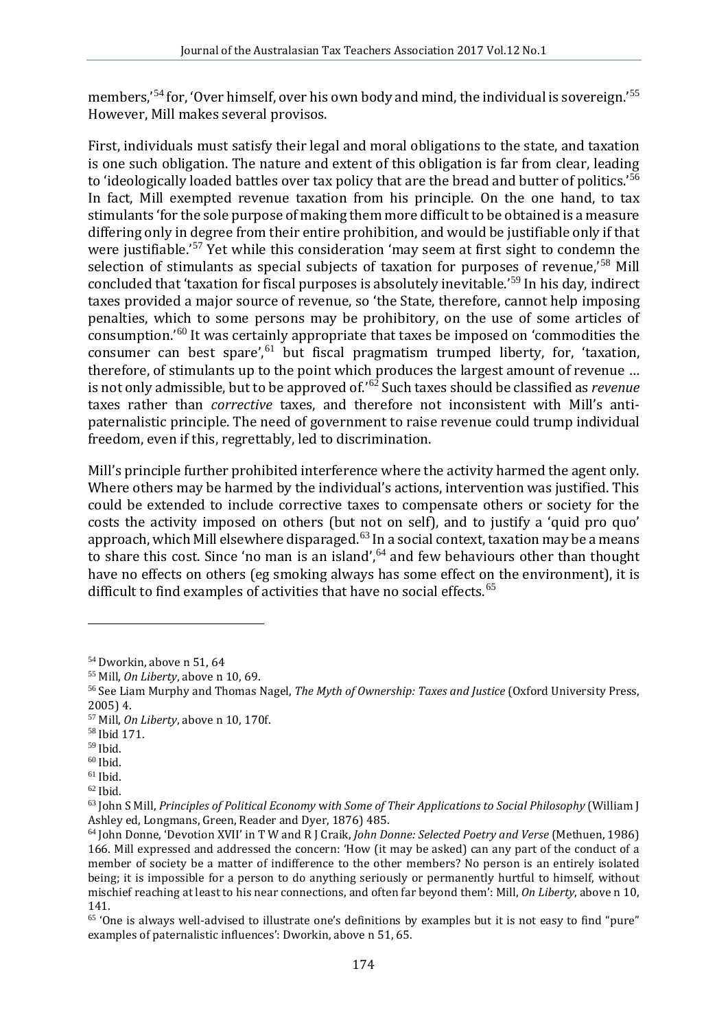members,<sup>1[54](#page-8-0)</sup> for, 'Over himself, over his own body and mind, the individual is sovereign.<sup>1[55](#page-8-1)</sup> However, Mill makes several provisos.

First, individuals must satisfy their legal and moral obligations to the state, and taxation is one such obligation. The nature and extent of this obligation is far from clear, leading to 'ideologically loaded battles over tax policy that are the bread and butter of politics.'<sup>[56](#page-8-2)</sup> In fact, Mill exempted revenue taxation from his principle. On the one hand, to tax stimulants 'for the sole purpose of making them more difficult to be obtained is a measure differing only in degree from their entire prohibition, and would be justifiable only if that were justifiable.'<sup>[57](#page-8-3)</sup> Yet while this consideration 'may seem at first sight to condemn the selection of stimulants as special subjects of taxation for purposes of revenue,<sup>[58](#page-8-4)</sup> Mill concluded that 'taxation for fiscal purposes is absolutely inevitable.' [59](#page-8-5) In his day, indirect taxes provided a major source of revenue, so 'the State, therefore, cannot help imposing penalties, which to some persons may be prohibitory, on the use of some articles of consumption.' [60](#page-8-6) It was certainly appropriate that taxes be imposed on 'commodities the consumer can best spare', $61$  but fiscal pragmatism trumped liberty, for, 'taxation, therefore, of stimulants up to the point which produces the largest amount of revenue … is not only admissible, but to be approved of.' [62](#page-8-8) Such taxes should be classified as *revenue* taxes rather than *corrective* taxes, and therefore not inconsistent with Mill's antipaternalistic principle. The need of government to raise revenue could trump individual freedom, even if this, regrettably, led to discrimination.

Mill's principle further prohibited interference where the activity harmed the agent only. Where others may be harmed by the individual's actions, intervention was justified. This could be extended to include corrective taxes to compensate others or society for the costs the activity imposed on others (but not on self), and to justify a 'quid pro quo' approach, which Mill elsewhere disparaged.<sup>[63](#page-8-9)</sup> In a social context, taxation may be a means to share this cost. Since 'no man is an island',  $64$  and few behaviours other than thought have no effects on others (eg smoking always has some effect on the environment), it is difficult to find examples of activities that have no social effects.<sup>[65](#page-8-11)</sup>

<span id="page-8-2"></span><span id="page-8-1"></span>

<span id="page-8-0"></span><sup>&</sup>lt;sup>54</sup> Dworkin, above n 51, 64<br><sup>55</sup> Mill, *On Liberty*, above n 10, 69.<br><sup>56</sup> See Liam Murphy and Thomas Nagel, *The Myth of Ownership: Taxes and Justice* (Oxford University Press, 2005) 4.

<span id="page-8-3"></span><sup>&</sup>lt;sup>57</sup> Mill, *On Liberty*, above n 10, 170f.<br><sup>58</sup> Ibid 171.<br><sup>59</sup> Ibid.

<span id="page-8-4"></span>

<span id="page-8-9"></span><span id="page-8-8"></span>

<span id="page-8-7"></span><span id="page-8-6"></span><span id="page-8-5"></span><sup>&</sup>lt;sup>60</sup> Ibid.<br><sup>61</sup> Ibid.<br><sup>62</sup> Ibid.<br><sup>63</sup> John S Mill, *Principles of Political Economy with Some of Their Applications to Social Philosophy (William J<br>Ashley ed, Longmans, Green, Reader and Dyer, 1876) 485.* 

<span id="page-8-10"></span><sup>&</sup>lt;sup>64</sup> John Donne, 'Devotion XVII' in T W and R I Craik, *John Donne: Selected Poetry and Verse* (Methuen, 1986) 166. Mill expressed and addressed the concern: 'How (it may be asked) can any part of the conduct of a member of society be a matter of indifference to the other members? No person is an entirely isolated being; it is impossible for a person to do anything seriously or permanently hurtful to himself, without mischief reaching at least to his near connections, and often far beyond them': Mill, *On Liberty*, above n 10, 141.

<span id="page-8-11"></span><sup>65</sup> 'One is always well-advised to illustrate one's definitions by examples but it is not easy to find "pure" examples of paternalistic influences': Dworkin, above n 51, 65.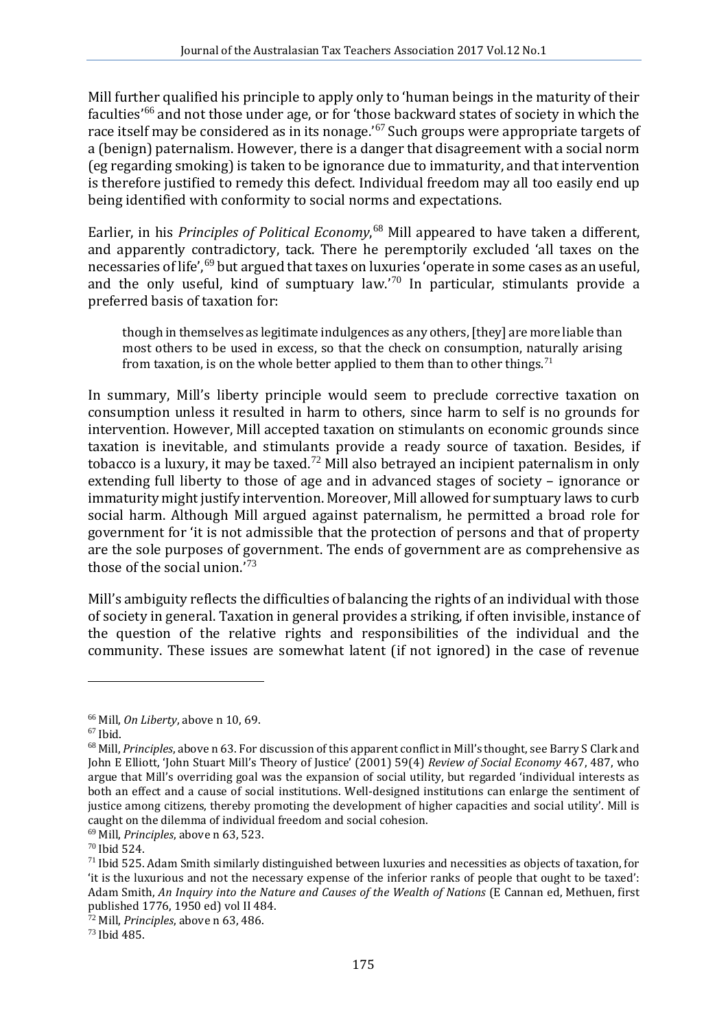Mill further qualified his principle to apply only to 'human beings in the maturity of their faculties<sup>'[66](#page-9-0)</sup> and not those under age, or for 'those backward states of society in which the race itself may be considered as in its nonage.' [67](#page-9-1) Such groups were appropriate targets of a (benign) paternalism. However, there is a danger that disagreement with a social norm (eg regarding smoking) is taken to be ignorance due to immaturity, and that intervention is therefore justified to remedy this defect. Individual freedom may all too easily end up being identified with conformity to social norms and expectations.

Earlier, in his *Principles of Political Economy*, [68](#page-9-2) Mill appeared to have taken a different, and apparently contradictory, tack. There he peremptorily excluded 'all taxes on the necessaries of life',<sup>[69](#page-9-3)</sup> but argued that taxes on luxuries 'operate in some cases as an useful, and the only useful, kind of sumptuary law.' [70](#page-9-4) In particular, stimulants provide a preferred basis of taxation for:

though in themselves as legitimate indulgences as any others, [they] are more liable than most others to be used in excess, so that the check on consumption, naturally arising from taxation, is on the whole better applied to them than to other things.<sup>[71](#page-9-5)</sup>

In summary, Mill's liberty principle would seem to preclude corrective taxation on consumption unless it resulted in harm to others, since harm to self is no grounds for intervention. However, Mill accepted taxation on stimulants on economic grounds since taxation is inevitable, and stimulants provide a ready source of taxation. Besides, if tobacco is a luxury, it may be taxed.<sup>[72](#page-9-6)</sup> Mill also betrayed an incipient paternalism in only extending full liberty to those of age and in advanced stages of society – ignorance or immaturity might justify intervention. Moreover, Mill allowed for sumptuary laws to curb social harm. Although Mill argued against paternalism, he permitted a broad role for government for 'it is not admissible that the protection of persons and that of property are the sole purposes of government. The ends of government are as comprehensive as those of the social union.' [73](#page-9-7)

Mill's ambiguity reflects the difficulties of balancing the rights of an individual with those of society in general. Taxation in general provides a striking, if often invisible, instance of the question of the relative rights and responsibilities of the individual and the community. These issues are somewhat latent (if not ignored) in the case of revenue

<span id="page-9-7"></span>

<span id="page-9-2"></span>

<span id="page-9-1"></span><span id="page-9-0"></span><sup>&</sup>lt;sup>66</sup> Mill, *On Liberty*, above n 10, 69.<br><sup>67</sup> Ibid.<br><sup>68</sup> Mill, *Principles*, above n 63. For discussion of this apparent conflict in Mill's thought, see Barry S Clark and John E Elliott, 'John Stuart Mill's Theory of Justice' (2001) 59(4) *Review of Social Economy* 467, 487, who argue that Mill's overriding goal was the expansion of social utility, but regarded 'individual interests as both an effect and a cause of social institutions. Well-designed institutions can enlarge the sentiment of justice among citizens, thereby promoting the development of higher capacities and social utility'. Mill is caught on the dilemma of individual freedom and social cohesion.<br><sup>69</sup> Mill. *Principles*. above n 63.523.

<span id="page-9-3"></span>

<span id="page-9-5"></span><span id="page-9-4"></span><sup>&</sup>lt;sup>70</sup> Ibid 524.<br><sup>71</sup> Ibid 525. Adam Smith similarly distinguished between luxuries and necessities as objects of taxation, for 'it is the luxurious and not the necessary expense of the inferior ranks of people that ought to be taxed': Adam Smith, *An Inquiry into the Nature and Causes of the Wealth of Nations* (E Cannan ed, Methuen, first

<span id="page-9-6"></span> $\frac{1}{72}$  Mill, *Principles*, above n 63, 486. *73* Ibid 485.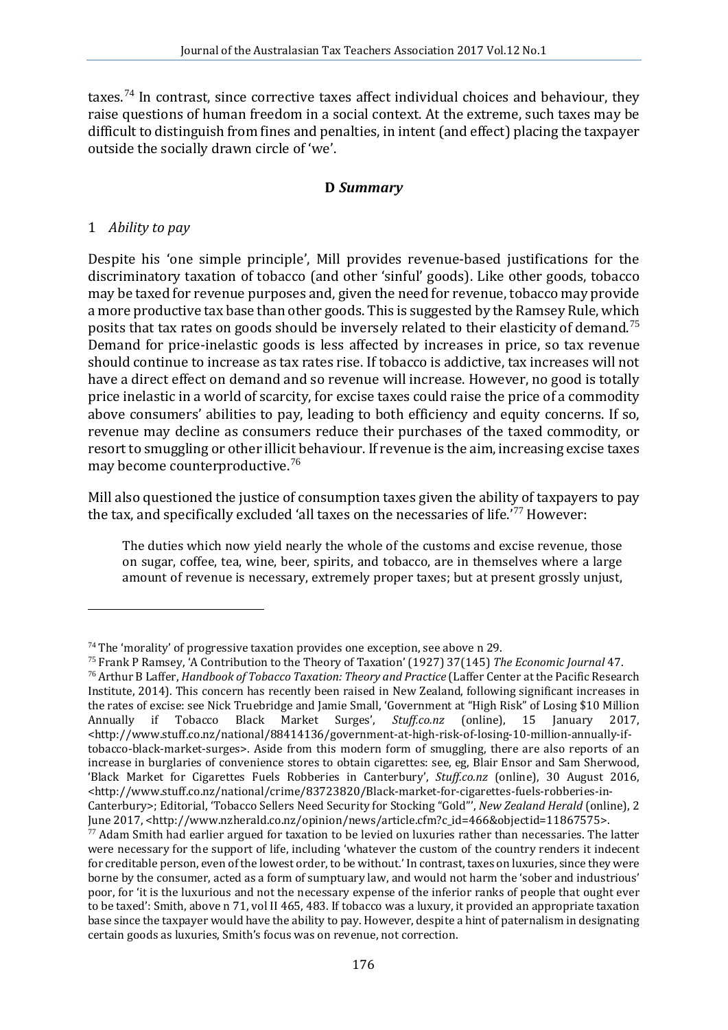taxes.<sup>[74](#page-10-0)</sup> In contrast, since corrective taxes affect individual choices and behaviour, they raise questions of human freedom in a social context. At the extreme, such taxes may be difficult to distinguish from fines and penalties, in intent (and effect) placing the taxpayer outside the socially drawn circle of 'we'.

## **D** *Summary*

## 1 *Ability to pay*

i,

Despite his 'one simple principle', Mill provides revenue-based justifications for the discriminatory taxation of tobacco (and other 'sinful' goods). Like other goods, tobacco may be taxed for revenue purposes and, given the need for revenue, tobacco may provide a more productive tax base than other goods. This is suggested by the Ramsey Rule, which posits that tax rates on goods should be inversely related to their elasticity of demand.[75](#page-10-1) Demand for price-inelastic goods is less affected by increases in price, so tax revenue should continue to increase as tax rates rise. If tobacco is addictive, tax increases will not have a direct effect on demand and so revenue will increase. However, no good is totally price inelastic in a world of scarcity, for excise taxes could raise the price of a commodity above consumers' abilities to pay, leading to both efficiency and equity concerns. If so, revenue may decline as consumers reduce their purchases of the taxed commodity, or resort to smuggling or other illicit behaviour. If revenue is the aim, increasing excise taxes may become counterproductive.[76](#page-10-2)

Mill also questioned the justice of consumption taxes given the ability of taxpayers to pay the tax, and specifically excluded 'all taxes on the necessaries of life.' [77](#page-10-3) However:

The duties which now yield nearly the whole of the customs and excise revenue, those on sugar, coffee, tea, wine, beer, spirits, and tobacco, are in themselves where a large amount of revenue is necessary, extremely proper taxes; but at present grossly unjust,

<span id="page-10-2"></span><span id="page-10-1"></span><span id="page-10-0"></span><sup>&</sup>lt;sup>74</sup> The 'morality' of progressive taxation provides one exception, see above n 29.<br><sup>75</sup> Frank P Ramsey, 'A Contribution to the Theory of Taxation' (1927) 37(145) *The Economic Journal* 47.<br><sup>76</sup> Arthur B Laffer. *Handbook* Institute, 2014). This concern has recently been raised in New Zealand, following significant increases in the rates of excise: see Nick Truebridge and Jamie Small, 'Government at "High Risk" of Losing \$10 Million<br>Annually if Tobacco Black Market Surges', *Stuff.co.nz* (online). 15 Ianuary 2017. Annually if Tobacco Black Market Surges', *Stuff.co.nz* (online), 15 January 2017, <http://www.stuff.co.nz/national/88414136/government-at-high-risk-of-losing-10-million-annually-iftobacco-black-market-surges>. Aside from this modern form of smuggling, there are also reports of an increase in burglaries of convenience stores to obtain cigarettes: see, eg, Blair Ensor and Sam Sherwood, 'Black Market for Cigarettes Fuels Robberies in Canterbury', *Stuff.co.nz* (online), 30 August 2016, <http://www.stuff.co.nz/national/crime/83723820/Black-market-for-cigarettes-fuels-robberies-in-Canterbury>; Editorial, 'Tobacco Sellers Need Security for Stocking "Gold"', *New Zealand Herald* (online), 2<br>June 2017, <http://www.nzherald.co.nz/opinion/news/article.cfm?c\_id=466&objectid=11867575>.

<span id="page-10-3"></span> $\frac{77}{10}$  Adam Smith had earlier argued for taxation to be levied on luxuries rather than necessaries. The latter were necessary for the support of life, including 'whatever the custom of the country renders it indecent for creditable person, even of the lowest order, to be without.' In contrast, taxes on luxuries, since they were borne by the consumer, acted as a form of sumptuary law, and would not harm the 'sober and industrious' poor, for 'it is the luxurious and not the necessary expense of the inferior ranks of people that ought ever to be taxed': Smith, above n 71, vol II 465, 483. If tobacco was a luxury, it provided an appropriate taxation base since the taxpayer would have the ability to pay. However, despite a hint of paternalism in designating certain goods as luxuries, Smith's focus was on revenue, not correction.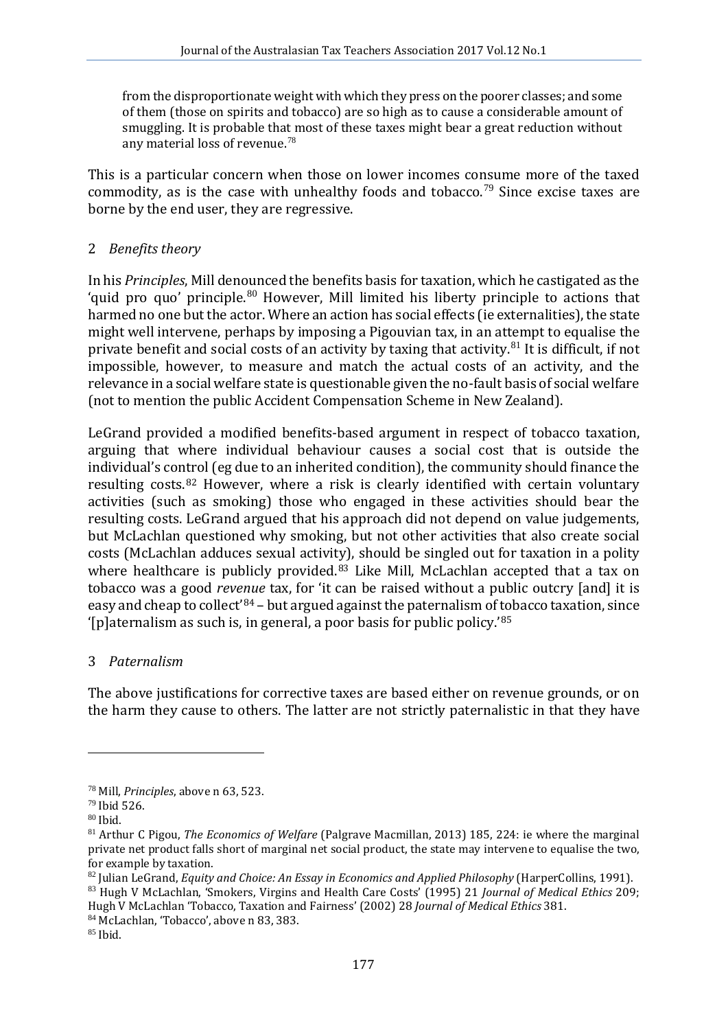from the disproportionate weight with which they press on the poorer classes; and some of them (those on spirits and tobacco) are so high as to cause a considerable amount of smuggling. It is probable that most of these taxes might bear a great reduction without any material loss of revenue. $^{78}$  $^{78}$  $^{78}$ 

This is a particular concern when those on lower incomes consume more of the taxed commodity, as is the case with unhealthy foods and tobacco.<sup>[79](#page-11-1)</sup> Since excise taxes are borne by the end user, they are regressive.

## 2 *Benefits theory*

In his *Principles*, Mill denounced the benefits basis for taxation, which he castigated as the 'quid pro quo' principle. $80$  However, Mill limited his liberty principle to actions that harmed no one but the actor. Where an action has social effects (ie externalities), the state might well intervene, perhaps by imposing a Pigouvian tax, in an attempt to equalise the private benefit and social costs of an activity by taxing that activity. $81$  It is difficult, if not impossible, however, to measure and match the actual costs of an activity, and the relevance in a social welfare state is questionable given the no-fault basis of social welfare (not to mention the public Accident Compensation Scheme in New Zealand).

LeGrand provided a modified benefits-based argument in respect of tobacco taxation, arguing that where individual behaviour causes a social cost that is outside the individual's control (eg due to an inherited condition), the community should finance the resulting costs.[82](#page-11-4) However, where a risk is clearly identified with certain voluntary activities (such as smoking) those who engaged in these activities should bear the resulting costs. LeGrand argued that his approach did not depend on value judgements, but McLachlan questioned why smoking, but not other activities that also create social costs (McLachlan adduces sexual activity), should be singled out for taxation in a polity where healthcare is publicly provided.<sup>[83](#page-11-5)</sup> Like Mill, McLachlan accepted that a tax on tobacco was a good *revenue* tax, for 'it can be raised without a public outcry [and] it is easy and cheap to collect'[84](#page-11-6) – but argued against the paternalism of tobacco taxation, since '[p]aternalism as such is, in general, a poor basis for public policy.'[85](#page-11-7)

## 3 *Paternalism*

The above justifications for corrective taxes are based either on revenue grounds, or on the harm they cause to others. The latter are not strictly paternalistic in that they have

<span id="page-11-3"></span><span id="page-11-2"></span>

<span id="page-11-1"></span><span id="page-11-0"></span><sup>&</sup>lt;sup>78</sup> Mill, *Principles*, above n 63, 523.<br><sup>79</sup> Ibid 526.<br><sup>80</sup> Ibid. 81 Arthur C Pigou. *The Economics of Welfare* (Palgrave Macmillan, 2013) 185, 224: ie where the marginal private net product falls short of marginal net social product, the state may intervene to equalise the two, for example by taxation.<br><sup>82</sup> Iulian LeGrand, *Equity and Choice: An Essay in Economics and Applied Philosophy (HarperCollins, 1991).* 

<span id="page-11-4"></span>

<span id="page-11-5"></span><sup>&</sup>lt;sup>83</sup> Hugh V McLachlan, 'Smokers, Virgins and Health Care Costs' (1995) 21 *Journal of Medical Ethics* 209; Hugh V McLachlan 'Tobacco, Taxation and Fairness' (2002) 28 *Journal of Medical Ethics* 381.<br><sup>84</sup> McLachlan, 'Tobacco', above n 83, 383.<br><sup>85</sup> Ibid.

<span id="page-11-6"></span>

<span id="page-11-7"></span>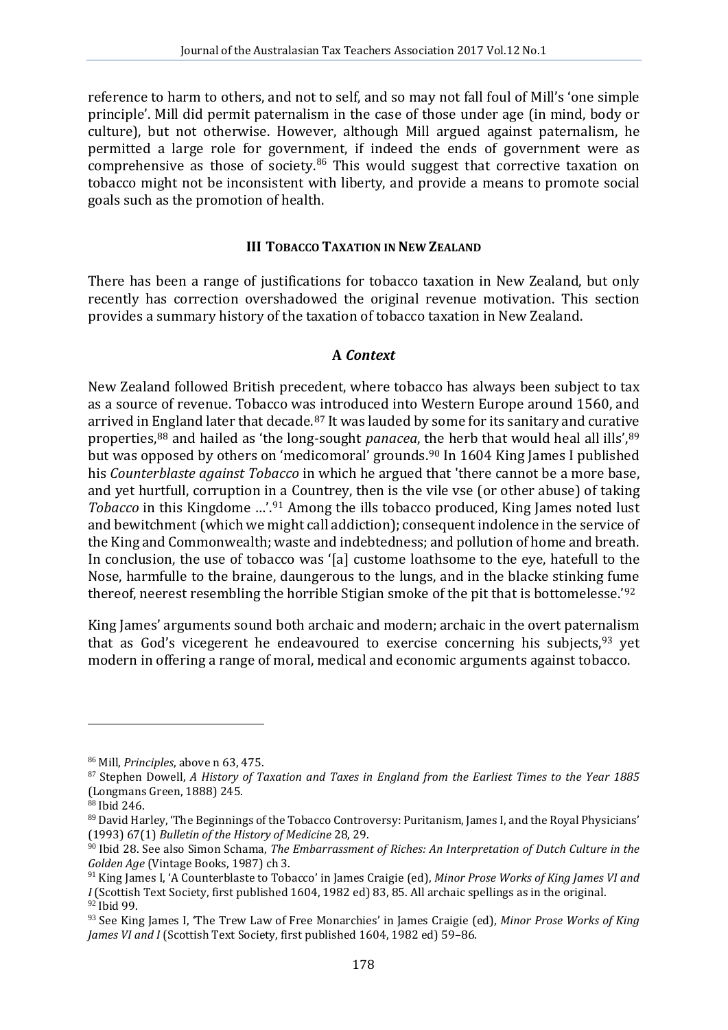reference to harm to others, and not to self, and so may not fall foul of Mill's 'one simple principle'. Mill did permit paternalism in the case of those under age (in mind, body or culture), but not otherwise. However, although Mill argued against paternalism, he permitted a large role for government, if indeed the ends of government were as comprehensive as those of society. $86$  This would suggest that corrective taxation on tobacco might not be inconsistent with liberty, and provide a means to promote social goals such as the promotion of health.

## **III TOBACCO TAXATION IN NEW ZEALAND**

There has been a range of justifications for tobacco taxation in New Zealand, but only recently has correction overshadowed the original revenue motivation. This section provides a summary history of the taxation of tobacco taxation in New Zealand.

## **A** *Context*

New Zealand followed British precedent, where tobacco has always been subject to tax as a source of revenue. Tobacco was introduced into Western Europe around 1560, and arrived in [Eng](#page-12-2)land later that decade.<sup>[87](#page-12-1)</sup> It was lauded by some for its sanitary and curative properties,88 and hailed as 'the long-sought *panacea*, [the](#page-12-4) herb that would heal all ills'[,89](#page-12-3) but was opposed by others on 'medicomoral' grounds.<sup>90</sup> In 1604 King James I published his *Counterblaste against Tobacco* in which he argued that 'there cannot be a more base, and yet hurtfull, corruption in a Countrey, then is the vile vse (or other abuse) of taking *Tobacco* in this Kingdome ...'.<sup>[91](#page-12-5)</sup> Among the ills tobacco produced, King James noted lust and bewitchment (which we might call addiction); consequent indolence in the service of the King and Commonwealth; waste and indebtedness; and pollution of home and breath. In conclusion, the use of tobacco was '[a] custome loathsome to the eye, hatefull to the Nose, harmfulle to the braine, daungerous to the lungs, and in the blacke stinking fu[me](#page-12-6) thereof, neerest resembling the horrible Stigian smoke of the pit that is bottomelesse.' 92

King James' arguments sound both archaic and modern; archaic in the overt paternalism that as God's vicegerent he endeavoured to exercise concerning his subjects,  $93$  yet modern in offering a range of moral, medical and economic arguments against tobacco.

<span id="page-12-1"></span><span id="page-12-0"></span><sup>&</sup>lt;sup>86</sup> Mill, *Principles*, above n 63, 475.<br><sup>87</sup> Stephen Dowell, *A History of Taxation and Taxes in England from the Earliest Times to the Year 1885* (Longmans Green, 1888) 245.

<span id="page-12-2"></span><sup>88</sup> Ibid 246.

<span id="page-12-3"></span><sup>89</sup> David Harley, 'The Beginnings of the Tobacco Controversy: Puritanism, James I, and the Royal Physicians' (1993) 67(1) *Bulletin of the History of Medicine* 28, 29.

<span id="page-12-4"></span><sup>90</sup> Ibid 28. See also Simon Schama, *The Embarrassment of Riches: An Interpretation of Dutch Culture in the Golden Age* (Vintage Books, 1987) ch 3.

<span id="page-12-5"></span><sup>91</sup> King James I, 'A Counterblaste to Tobacco' in James Craigie (ed), *Minor Prose Works of King James VI and I* (Scottish Text Society, first published 1604, 1982 ed) 83, 85. All archaic spellings as in the original. <sup>92</sup> Ibid 99.

<span id="page-12-7"></span><span id="page-12-6"></span><sup>&</sup>lt;sup>93</sup> See King James I, 'The Trew Law of Free Monarchies' in James Craigie (ed), *Minor Prose Works of King James VI and I* (Scottish Text Society, first published 1604, 1982 ed) 59–86.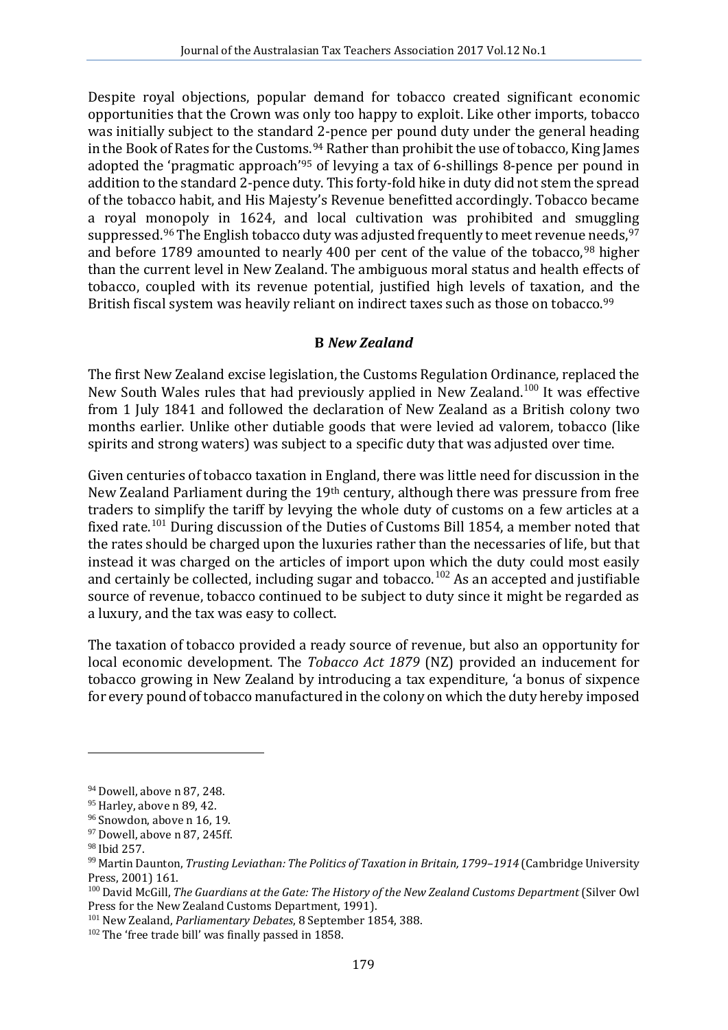Despite royal objections, popular demand for tobacco created significant economic opportunities that the Crown was only too happy to exploit. Like other imports, tobacco was initially subject to the standard 2-pence per pound duty under the general heading in the Book of Rates for the Custo[ms.](#page-13-1)<sup>[94](#page-13-0)</sup> Rather than prohibit the use of tobacco, King James adopted the 'pragmatic approach'95 of levying a tax of 6-shillings 8-pence per pound in addition to the standard 2-pence duty. This forty-fold hike in duty did not stem the spread of the tobacco habit, and His Majesty's Revenue benefitted accordingly. Tobacco became a royal monopoly in 1624, and local cultivation was prohibited and smuggling suppressed.<sup>[96](#page-13-2)</sup> The English tobacco duty was adjusted frequently to meet revenu[e n](#page-13-4)eeds.<sup>97</sup> and before 1789 amounted to nearly 400 per cent of the value of the tobacco,<sup>98</sup> higher than the current level in New Zealand. The ambiguous moral status and health effects of tobacco, coupled with its revenue potential, justified high levels of taxation, and the British fiscal system was heavily reliant on indirect taxes such as those on tobacco.<sup>[99](#page-13-5)</sup>

## **B** *New Zealand*

The first New Zealand excise legislation, the Customs Regulation Ordinance, replaced the New South Wales rules that had previously applied in New Zealand.<sup>[100](#page-13-6)</sup> It was effective from 1 July 1841 and followed the declaration of New Zealand as a British colony two months earlier. Unlike other dutiable goods that were levied ad valorem, tobacco (like spirits and strong waters) was subject to a specific duty that was adjusted over time.

Given centuries of tobacco taxation in England, there was little need for discussion in the New Zealand Parliament during the 19th century, although there was pressure from free traders to simplify the tariff by levying the whole duty of customs on a few articles at a fixed rate.<sup>[101](#page-13-7)</sup> During discussion of the Duties of Customs Bill 1854, a member noted that the rates should be charged upon the luxuries rather than the necessaries of life, but that instead it was charged on the articles of import upon which the duty could most easily and certainly be collected, including sugar and tobacco.<sup>[102](#page-13-8)</sup> As an accepted and justifiable source of revenue, tobacco continued to be subject to duty since it might be regarded as a luxury, and the tax was easy to collect.

The taxation of tobacco provided a ready source of revenue, but also an opportunity for local economic development. The *Tobacco Act 1879* (NZ) provided an inducement for tobacco growing in New Zealand by introducing a tax expenditure, 'a bonus of sixpence for every pound of tobacco manufactured in the colony on which the duty hereby imposed

<span id="page-13-1"></span><span id="page-13-0"></span> $94$  Dowell, above n 87, 248.<br> $95$  Harley, above n 89, 42.

<span id="page-13-3"></span><span id="page-13-2"></span><sup>&</sup>lt;sup>96</sup> Snowdon, above n 16, 19.<br><sup>97</sup> Dowell, above n 87, 245ff.<br><sup>98</sup> Ibid 257.

<span id="page-13-5"></span><span id="page-13-4"></span><sup>&</sup>lt;sup>99</sup> Martin Daunton, *Trusting Leviathan: The Politics of Taxation in Britain, 1799–1914* (Cambridge University Press, 2001) 161.

<span id="page-13-6"></span><sup>&</sup>lt;sup>100</sup> David McGill, *The Guardians at the Gate: The History of the New Zealand Customs Department* (Silver Owl<br>Press for the New Zealand Customs Department. 1991).

<span id="page-13-7"></span><sup>&</sup>lt;sup>101</sup> New Zealand, *Parliamentary Debates*, 8 September 1854, 388. <sup>102</sup> The 'free trade bill' was finally passed in 1858.

<span id="page-13-8"></span>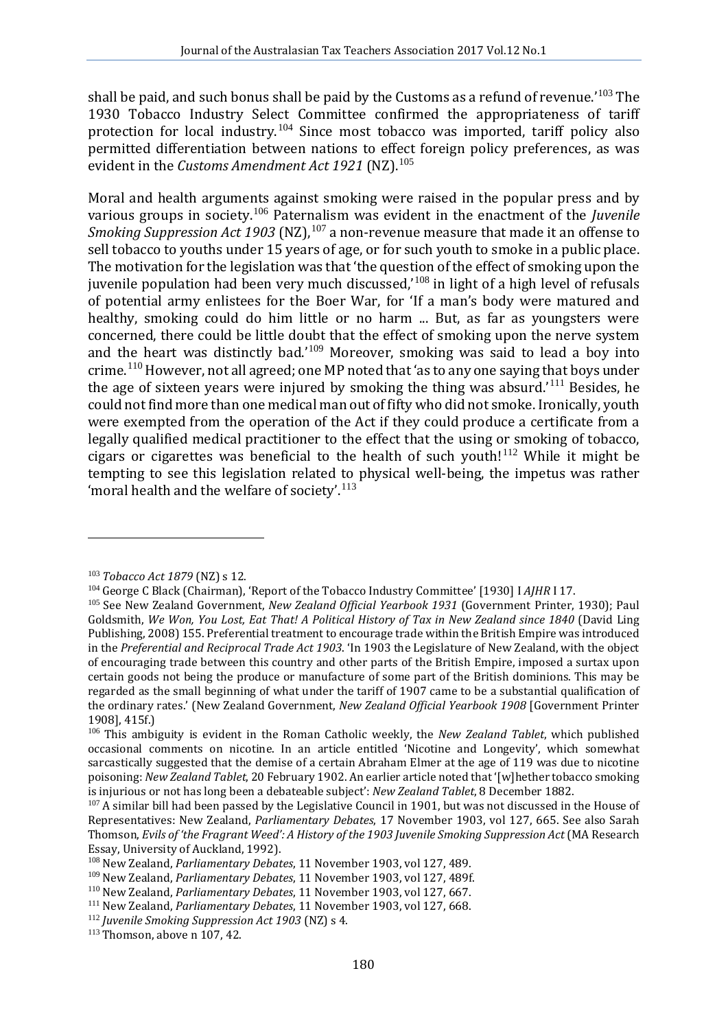shall be paid, and such bonus shall be paid by the Customs as a refund of revenue.' [103](#page-14-0) The 1930 Tobacco Industry Select Committee confirmed the appropriateness of tariff protection for local industry.<sup>[104](#page-14-1)</sup> Since most tobacco was imported, tariff policy also permitted differentiation between nations to effect foreign policy preferences, as was evident in the *Customs Amendment Act 1921* (NZ). [105](#page-14-2)

Moral and health arguments against smoking were raised in the popular press and by various groups in society.[106](#page-14-3) Paternalism was evident in the enactment of the *Juvenile Smoking Suppression Act 1903* (NZ), [107](#page-14-4) a non-revenue measure that made it an offense to sell tobacco to youths under 15 years of age, or for such youth to smoke in a public place. The motivation for the legislation was that 'the question of the effect of smoking upon the juvenile population had been very much discussed,' [108](#page-14-5) in light of a high level of refusals of potential army enlistees for the Boer War, for 'If a man's body were matured and healthy, smoking could do him little or no harm ... But, as far as youngsters were concerned, there could be little doubt that the effect of smoking upon the nerve system and the heart was distinctly bad.' $109$  Moreover, smoking was said to lead a boy into crime.[110](#page-14-7) However, not all agreed; one MP noted that 'as to any one saying that boys under the age of sixteen years were injured by smoking the thing was absurd.'<sup>[111](#page-14-8)</sup> Besides, he could not find more than one medical man out of fifty who did not smoke. Ironically, youth were exempted from the operation of the Act if they could produce a certificate from a legally qualified medical practitioner to the effect that the using or smoking of tobacco, cigars or cigarettes was beneficial to the health of such youth!<sup>[112](#page-14-9)</sup> While it might be tempting to see this legislation related to physical well-being, the impetus was rather 'moral health and the welfare of society'.<sup>[113](#page-14-10)</sup>

<span id="page-14-2"></span>

<span id="page-14-1"></span><span id="page-14-0"></span><sup>&</sup>lt;sup>103</sup> Tobacco Act 1879 (NZ) s 12.<br><sup>104</sup> George C Black (Chairman), 'Report of the Tobacco Industry Committee' [1930] I AJHR I 17.<br><sup>105</sup> See New Zealand Government, *New Zealand Official Yearbook 1931* (Government Printer, Goldsmith, *We Won, You Lost, Eat That! A Political History of Tax in New Zealand since 1840* (David Ling Publishing, 2008) 155. Preferential treatment to encourage trade within the British Empire was introduced in the *Preferential and Reciprocal Trade Act 1903*. 'In 1903 the Legislature of New Zealand, with the object of encouraging trade between this country and other parts of the British Empire, imposed a surtax upon certain goods not being the produce or manufacture of some part of the British dominions. This may be regarded as the small beginning of what under the tariff of 1907 came to be a substantial qualification of the ordinary rates.' (New Zealand Government, *New Zealand Official Yearbook 1908* [Government Printer

<span id="page-14-3"></span><sup>&</sup>lt;sup>106</sup> This ambiguity is evident in the Roman Catholic weekly, the *New Zealand Tablet*, which published occasional comments on nicotine. In an article entitled 'Nicotine and Longevity', which somewhat sarcastically suggested that the demise of a certain Abraham Elmer at the age of 119 was due to nicotine poisoning: *New Zealand Tablet*, 20 February 1902. An earlier article noted that '[w]hether tobacco smoking

<span id="page-14-4"></span><sup>&</sup>lt;sup>107</sup> A similar bill had been passed by the Legislative Council in 1901, but was not discussed in the House of Representatives: New Zealand, *Parliamentary Debates*, 17 November 1903, vol 127, 665. See also Sarah Thomson, *Evils of 'the Fragrant Weed': A History of the 1903 Juvenile Smoking Suppression Act* (MA Research

<span id="page-14-5"></span><sup>&</sup>lt;sup>108</sup> New Zealand, *Parliamentary Debates*, 11 November 1903, vol 127, 489.<br><sup>109</sup> New Zealand, *Parliamentary Debates*, 11 November 1903, vol 127, 489f.

<span id="page-14-8"></span><span id="page-14-7"></span><span id="page-14-6"></span><sup>&</sup>lt;sup>110</sup> New Zealand, *Parliamentary Debates*, 11 November 1903, vol 127, 667.<br><sup>111</sup> New Zealand, *Parliamentary Debates*, 11 November 1903, vol 127, 668.<br><sup>112</sup> Juvenile Smoking Suppression Act 1903 (NZ) s 4.<br><sup>113</sup> Thomson,

<span id="page-14-9"></span>

<span id="page-14-10"></span>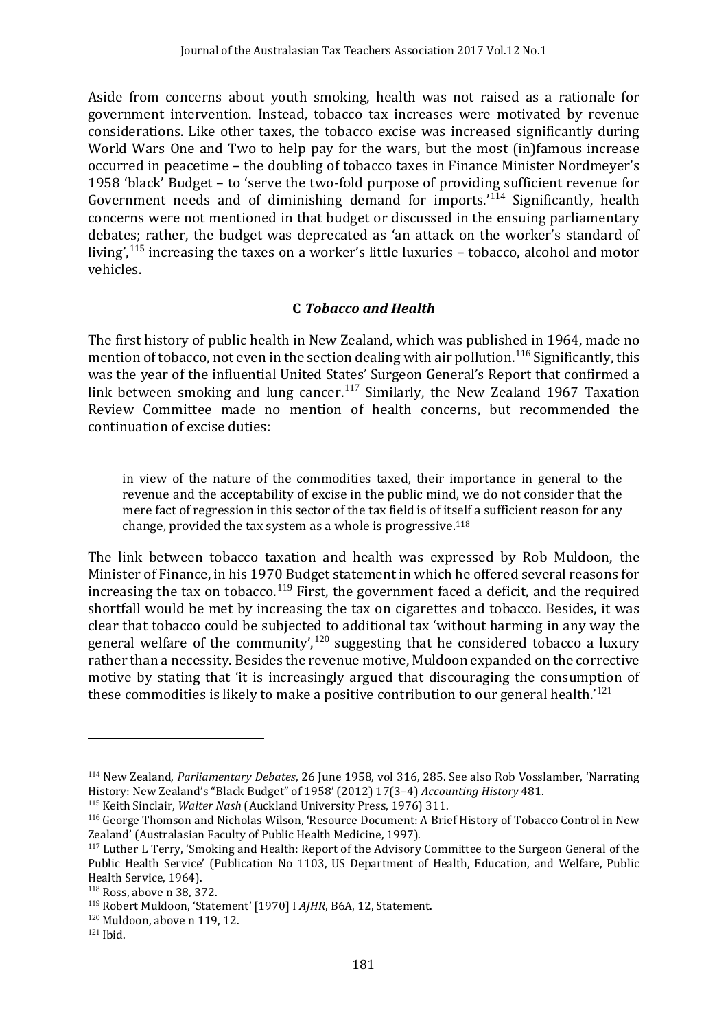Aside from concerns about youth smoking, health was not raised as a rationale for government intervention. Instead, tobacco tax increases were motivated by revenue considerations. Like other taxes, the tobacco excise was increased significantly during World Wars One and Two to help pay for the wars, but the most (in)famous increase occurred in peacetime – the doubling of tobacco taxes in Finance Minister Nordmeyer's 1958 'black' Budget – to 'serve the two-fold purpose of providing sufficient revenue for Government needs and of diminishing demand for imports.<sup>'[114](#page-15-0)</sup> Significantly, health concerns were not mentioned in that budget or discussed in the ensuing parliamentary debates; rather, the budget was deprecated as 'an attack on the worker's standard of living',  $115$  increasing the taxes on a worker's little luxuries – tobacco, alcohol and motor vehicles.

### **C** *Tobacco and Health*

The first history of public health in New Zealand, which was published in 1964, made no mention of tobacco, not even in the section dealing with air pollution.<sup>[116](#page-15-2)</sup> Significantly, this was the year of the influential United States' Surgeon General's Report that confirmed a link between smoking and lung cancer.<sup>[117](#page-15-3)</sup> Similarly, the New Zealand 1967 Taxation Review Committee made no mention of health concerns, but recommended the continuation of excise duties:

in view of the nature of the commodities taxed, their importance in general to the revenue and the acceptability of excise in the public mind, we do not consider that the mere fact of regression in this sector of the tax field is of it[self](#page-15-4) a sufficient reason for any change, provided the tax system as a whole is progressive.118

The link between tobacco taxation and health was expressed by Rob Muldoon, the Minister of Finance, in his 1970 Budget statement in which he offered several reasons for increasing the tax on tobacco.<sup>[119](#page-15-5)</sup> First, the government faced a deficit, and the required shortfall would be met by increasing the tax on cigarettes and tobacco. Besides, it was clear that tobacco could be subjected to additional tax 'without harming in any way the general welfare of the community',<sup>[120](#page-15-6)</sup> suggesting that he considered tobacco a luxury rather than a necessity. Besides the revenue motive, Muldoon expanded on the corrective motive by stating that 'it is increasingly argued that discouraging the consumption of these commodities is likely to make a positive contribution to our general health.' [121](#page-15-7)

<span id="page-15-0"></span><sup>&</sup>lt;sup>114</sup> New Zealand, *Parliamentary Debates*, 26 June 1958, vol 316, 285. See also Rob Vosslamber, 'Narrating History: New Zealand's "Black Budget" of 1958' (2012) 17(3-4) *Accounting History* 481.

<span id="page-15-2"></span><span id="page-15-1"></span><sup>&</sup>lt;sup>115</sup> Keith Sinclair, *Walter Nash* (Auckland University Press, 1976) 311.<br><sup>116</sup> George Thomson and Nicholas Wilson, 'Resource Document: A Brief History of Tobacco Control in New<br>Zealand' (Australasian Faculty of Public He

<span id="page-15-3"></span> $117$  Luther L Terry, 'Smoking and Health: Report of the Advisory Committee to the Surgeon General of the Public Health Service' (Publication No 1103, US Department of Health, Education, and Welfare, Public Health Service, 1964).

<span id="page-15-4"></span><sup>118</sup> Ross, above n 38, 372.

<span id="page-15-6"></span><span id="page-15-5"></span><sup>&</sup>lt;sup>119</sup> Robert Muldoon, 'Statement' [1970] I *AJHR*, B6A, 12, Statement.<br><sup>120</sup> Muldoon, above n 119, 12.<br><sup>121</sup> Ibid

<span id="page-15-7"></span>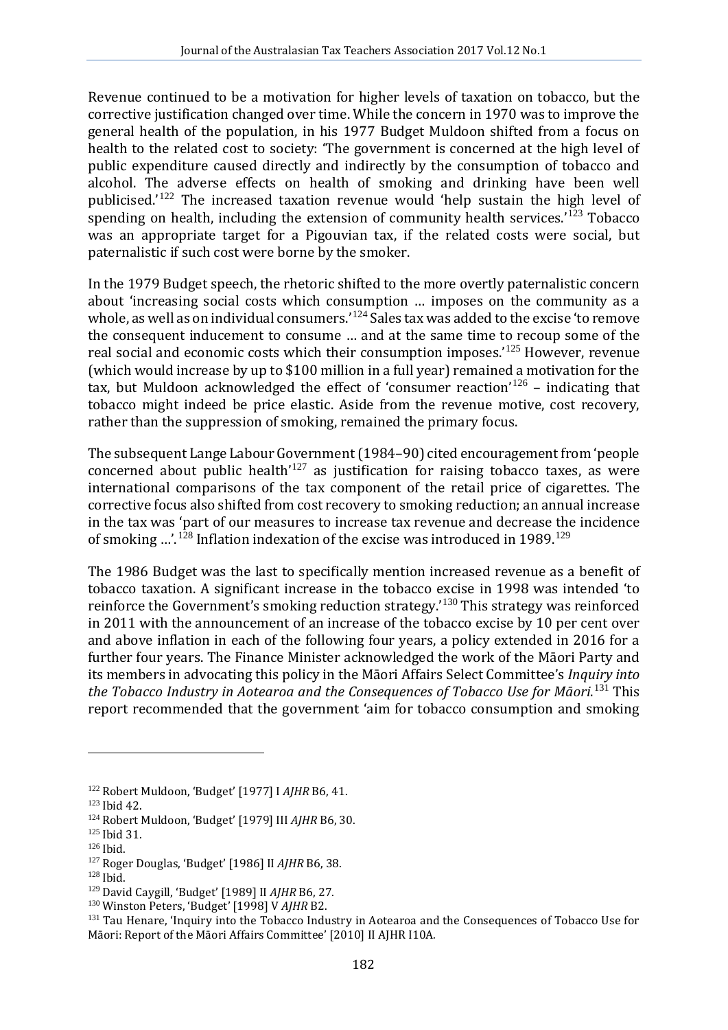Revenue continued to be a motivation for higher levels of taxation on tobacco, but the corrective justification changed over time. While the concern in 1970 was to improve the general health of the population, in his 1977 Budget Muldoon shifted from a focus on health to the related cost to society: 'The government is concerned at the high level of public expenditure caused directly and indirectly by the consumption of tobacco and alcohol. The adverse effects on health of smoking and drinking have been well publicised.<sup>'[122](#page-16-0)</sup> The increased taxation revenue would 'help sustain the high level of spending on health, including the extension of community health services.<sup>'[123](#page-16-1)</sup> Tobacco was an appropriate target for a Pigouvian tax, if the related costs were social, but paternalistic if such cost were borne by the smoker.

In the 1979 Budget speech, the rhetoric shifted to the more overtly paternalistic concern about 'increasing social costs which consumption … imposes on the community as a whole, as well as on individual consumers.' [124](#page-16-2) Sales tax was added to the excise 'to remove the consequent inducement to consume … and at the same time to recoup some of the real social and economic costs which their consumption imposes.' [125](#page-16-3) However, revenue (which would increase by up to \$100 million in a full year) remained a motivation for the tax, but Muldoon acknowledged the effect of 'consumer reaction' [126](#page-16-4) – indicating that tobacco might indeed be price elastic. Aside from the revenue motive, cost recovery, rather than the suppression of smoking, remained the primary focus.

The subsequent Lange Labour Government (1984–90) cited encouragement from 'people concerned about public health $127$  as justification for raising tobacco taxes, as were international comparisons of the tax component of the retail price of cigarettes. The corrective focus also shifted from cost recovery to smoking reduction; an annual increase in the tax was 'part of our measures to increase tax revenue and decrease the incidence of smoking ...'.<sup>[128](#page-16-6)</sup> Inflation indexation of the excise was introduced in 1989.<sup>[129](#page-16-7)</sup>

The 1986 Budget was the last to specifically mention increased revenue as a benefit of tobacco taxation. A significant increase in the tobacco excise in 1998 was intended 'to reinforce the Government's smoking reduction strategy.' [130](#page-16-8) This strategy was reinforced in 2011 with the announcement of an increase of the tobacco excise by 10 per cent over and above inflation in each of the following four years, a policy extended in 2016 for a further four years. The Finance Minister acknowledged the work of the Māori Party and its members in advocating this policy in the Māori Affairs Select Committee's *Inquiry into the Tobacco Industry in Aotearoa and the Consequences of Tobacco Use for Māori*. [131](#page-16-9) This report recommended that the government 'aim for tobacco consumption and smoking

<span id="page-16-1"></span><span id="page-16-0"></span><sup>&</sup>lt;sup>122</sup> Robert Muldoon, 'Budget' [1977] I *AJHR* B6, 41.<br><sup>123</sup> Ibid 42.<br><sup>124</sup> Robert Muldoon, 'Budget' [1979] III *AJHR* B6, 30.<br><sup>125</sup> Ibid. <sup>127</sup> Roger Douglas, 'Budget' [1986] II *AJHR* B6, 38.<br><sup>128</sup> Ibid. <sup>129</sup> David Cayg

<span id="page-16-3"></span><span id="page-16-2"></span>

<span id="page-16-4"></span>

<span id="page-16-5"></span>

<span id="page-16-6"></span>

<span id="page-16-9"></span><span id="page-16-8"></span><span id="page-16-7"></span><sup>&</sup>lt;sup>130</sup> Winston Peters, 'Budget' [1998] V *AJHR* B2.<br><sup>131</sup> Tau Henare, 'Inquiry into the Tobacco Industry in Aotearoa and the Consequences of Tobacco Use for Māori: Report of the Māori Affairs Committee' [2010] II AJHR I10A*.*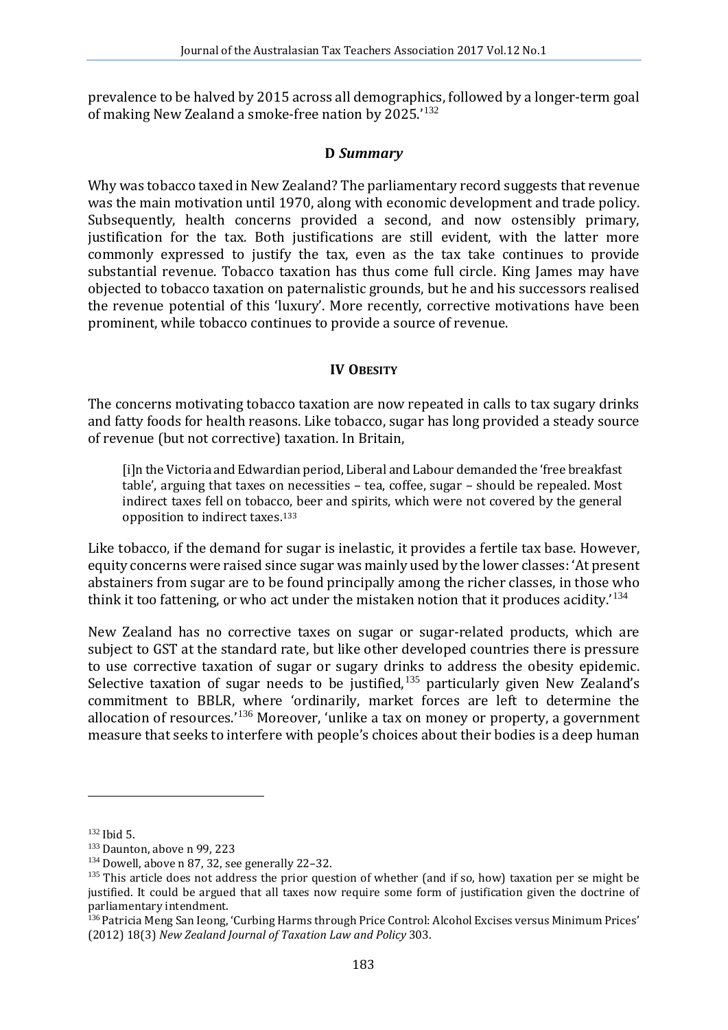prevalence to be halved by 2015 across all demographics, followed by a longer-term goal of making New Zealand a smoke-free nation by 2025.'<sup>[132](#page-17-0)</sup>

### **D** *Summary*

Why was tobacco taxed in New Zealand? The parliamentary record suggests that revenue was the main motivation until 1970, along with economic development and trade policy. Subsequently, health concerns provided a second, and now ostensibly primary, justification for the tax. Both justifications are still evident, with the latter more commonly expressed to justify the tax, even as the tax take continues to provide substantial revenue. Tobacco taxation has thus come full circle. King James may have objected to tobacco taxation on paternalistic grounds, but he and his successors realised the revenue potential of this 'luxury'. More recently, corrective motivations have been prominent, while tobacco continues to provide a source of revenue.

### **IV OBESITY**

The concerns motivating tobacco taxation are now repeated in calls to tax sugary drinks and fatty foods for health reasons. Like tobacco, sugar has long provided a steady source of revenue (but not corrective) taxation. In Britain,

[i]n the Victoria and Edwardian period, Liberal and Labour demanded the 'free breakfast table', arguing that taxes on necessities – tea, coffee, sugar – should be repealed. Most indirect taxes fell on tobacco, beer and spirits, which were not covered by the general opposition to indirect taxes.[133](#page-17-1)

Like tobacco, if the demand for sugar is inelastic, it provides a fertile tax base. However, equity concerns were raised since sugar was mainly used by the lower classes: 'At present abstainers from sugar are to be found principally among the richer classes, in those who think it too fattening, or who act under the mistaken notion that it produces acidity.' [134](#page-17-2)

<span id="page-17-5"></span>New Zealand has no corrective taxes on sugar or sugar-related products, which are subject to GST at the standard rate, but like other developed countries there is pressure to use corrective taxation of sugar or sugary drinks to address the obesity epidemic. Selective taxation of sugar needs to be justified,<sup>[135](#page-17-3)</sup> particularly given New Zealand's commitment to BBLR, where 'ordinarily, market forces are left to determine the allocation of resources.' [136](#page-17-4) Moreover, 'unlike a tax on money or property, a government measure that seeks to interfere with people's choices about their bodies is a deep human

<span id="page-17-3"></span><span id="page-17-2"></span>

<span id="page-17-1"></span><span id="page-17-0"></span><sup>&</sup>lt;sup>132</sup> Ibid 5.<br><sup>133</sup> Daunton, above n 99, 223<br><sup>134</sup> Dowell, above n 87, 32, see generally 22–32.<br><sup>135</sup> This article does not address the prior question of whether (and if so, how) taxation per se might be justified. It could be argued that all taxes now require some form of justification given the doctrine of parliamentary intendment.

<span id="page-17-4"></span><sup>136</sup> Patricia Meng San Ieong, 'Curbing Harms through Price Control: Alcohol Excises versus Minimum Prices' (2012) 18(3) *New Zealand Journal of Taxation Law and Policy* 303.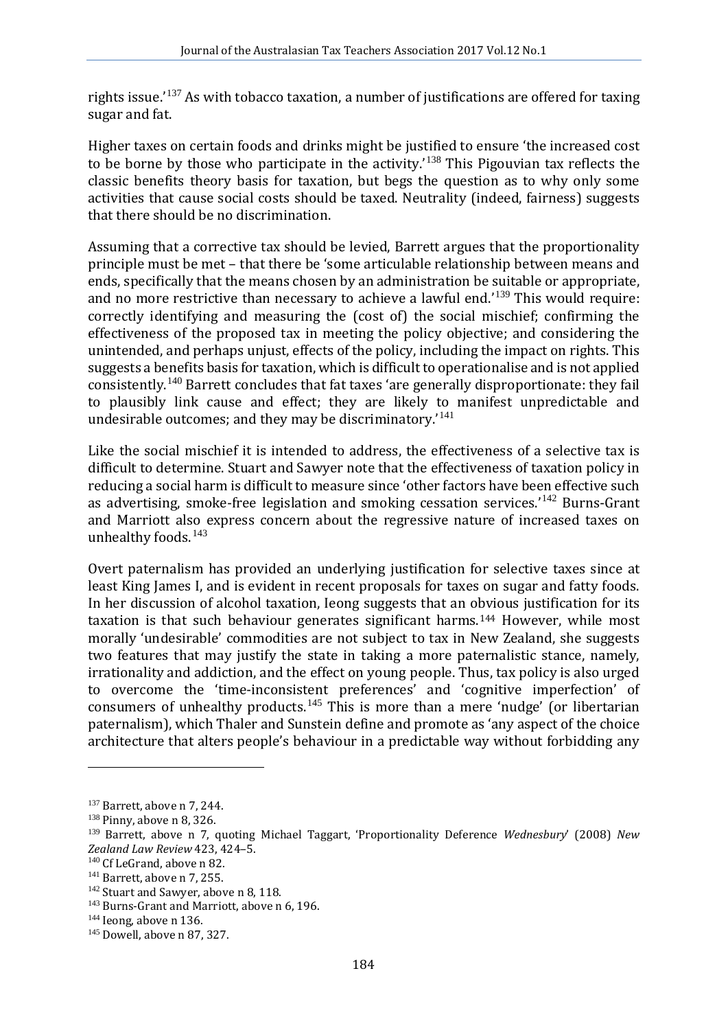rights issue.' [137](#page-18-0) As with tobacco taxation, a number of justifications are offered for taxing sugar and fat.

Higher taxes on certain foods and drinks might be justified to ensure 'the increased cost to be borne by those who participate in the activity.' [138](#page-18-1) This Pigouvian tax reflects the classic benefits theory basis for taxation, but begs the question as to why only some activities that cause social costs should be taxed. Neutrality (indeed, fairness) suggests that there should be no discrimination.

Assuming that a corrective tax should be levied, Barrett argues that the proportionality principle must be met – that there be 'some articulable relationship between means and ends, specifically that the means chosen by an administration be suitable or appropriate, and no more restrictive than necessary to achieve a lawful end.'<sup>[139](#page-18-2)</sup> This would require: correctly identifying and measuring the (cost of) the social mischief; confirming the effectiveness of the proposed tax in meeting the policy objective; and considering the unintended, and perhaps unjust, effects of the policy, including the impact on rights. This suggests a benefits basis for taxation, which is difficult to operationalise and is not applied consistently.[140](#page-18-3) Barrett concludes that fat taxes 'are generally disproportionate: they fail to plausibly link cause and effect; they are likely to manifest unpredictable and undesirable outcomes; and they may be discriminatory.'<sup>[141](#page-18-4)</sup>

Like the social mischief it is intended to address, the effectiveness of a selective tax is difficult to determine. Stuart and Sawyer note that the effectiveness of taxation policy in reducing a social harm is difficult to measure since 'other factors have been effective such as advertising, smoke-free legislation and smoking cessation services.<sup>'[142](#page-18-5)</sup> Burns-Grant and Marriott also express concern about the regressive nature of increased taxes on unhealthy foods.<sup>[143](#page-18-6)</sup>

Overt paternalism has provided an underlying justification for selective taxes since at least King James I, and is evident in recent proposals for taxes on sugar and fatty foods. In her discussion of alcohol taxation, Ieong suggests that an obvious justification for its taxation is that such behaviour generates significant harms.[144](#page-18-7) However, while most morally 'undesirable' commodities are not subject to tax in New Zealand, she suggests two features that may justify the state in taking a more paternalistic stance, namely, irrationality and addiction, and the effect on young people. Thus, tax policy is also urged to overcome the 'time-inconsistent preferences' and 'cognitive imperfection' of consumers of unhealthy products.<sup>[145](#page-18-8)</sup> This is more than a mere 'nudge' (or libertarian paternalism), which Thaler and Sunstein define and promote as 'any aspect of the choice architecture that alters people's behaviour in a predictable way without forbidding any

<span id="page-18-0"></span><sup>&</sup>lt;sup>137</sup> Barrett, above n 7, 244.<br><sup>138</sup> Pinny, above n 8, 326.

<span id="page-18-2"></span><span id="page-18-1"></span><sup>139</sup> Barrett, above n 7, quoting Michael Taggart, 'Proportionality Deference *Wednesbury*' (2008) *New* 

<span id="page-18-5"></span>

<span id="page-18-4"></span><span id="page-18-3"></span><sup>&</sup>lt;sup>140</sup> Cf LeGrand, above n 82.<br><sup>141</sup> Barrett, above n 7, 255.<br><sup>142</sup> Stuart and Sawyer, above n 8, 118.<br><sup>143</sup> Burns-Grant and Marriott, above n 6, 196.<br><sup>144</sup> Ieong, above [n 136.](#page-17-5)<br><sup>145</sup> Dowell. above n 87, 327.

<span id="page-18-7"></span><span id="page-18-6"></span>

<span id="page-18-8"></span>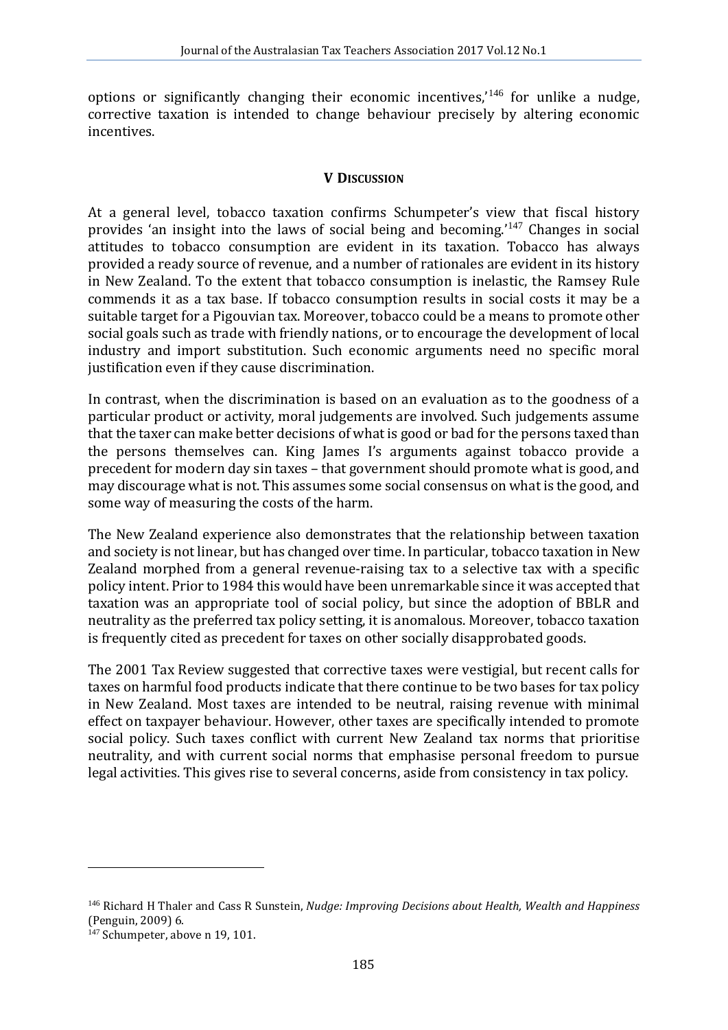options or significantly changing their economic incentives,' [146](#page-19-0) for unlike a nudge, corrective taxation is intended to change behaviour precisely by altering economic incentives.

## **V DISCUSSION**

At a general level, tobacco taxation confirms Schumpeter's view that fiscal history provides 'an insight into the laws of social being and becoming.'<sup>[147](#page-19-1)</sup> Changes in social attitudes to tobacco consumption are evident in its taxation. Tobacco has always provided a ready source of revenue, and a number of rationales are evident in its history in New Zealand. To the extent that tobacco consumption is inelastic, the Ramsey Rule commends it as a tax base. If tobacco consumption results in social costs it may be a suitable target for a Pigouvian tax. Moreover, tobacco could be a means to promote other social goals such as trade with friendly nations, or to encourage the development of local industry and import substitution. Such economic arguments need no specific moral justification even if they cause discrimination.

In contrast, when the discrimination is based on an evaluation as to the goodness of a particular product or activity, moral judgements are involved. Such judgements assume that the taxer can make better decisions of what is good or bad for the persons taxed than the persons themselves can. King James I's arguments against tobacco provide a precedent for modern day sin taxes – that government should promote what is good, and may discourage what is not. This assumes some social consensus on what is the good, and some way of measuring the costs of the harm.

The New Zealand experience also demonstrates that the relationship between taxation and society is not linear, but has changed over time. In particular, tobacco taxation in New Zealand morphed from a general revenue-raising tax to a selective tax with a specific policy intent. Prior to 1984 this would have been unremarkable since it was accepted that taxation was an appropriate tool of social policy, but since the adoption of BBLR and neutrality as the preferred tax policy setting, it is anomalous. Moreover, tobacco taxation is frequently cited as precedent for taxes on other socially disapprobated goods.

The 2001 Tax Review suggested that corrective taxes were vestigial, but recent calls for taxes on harmful food products indicate that there continue to be two bases for tax policy in New Zealand. Most taxes are intended to be neutral, raising revenue with minimal effect on taxpayer behaviour. However, other taxes are specifically intended to promote social policy. Such taxes conflict with current New Zealand tax norms that prioritise neutrality, and with current social norms that emphasise personal freedom to pursue legal activities. This gives rise to several concerns, aside from consistency in tax policy.

<span id="page-19-0"></span><sup>146</sup> Richard H Thaler and Cass R Sunstein, *Nudge: Improving Decisions about Health, Wealth and Happiness* (Penguin, 2009) 6.

<span id="page-19-1"></span><sup>&</sup>lt;sup>147</sup> Schumpeter, above n 19, 101.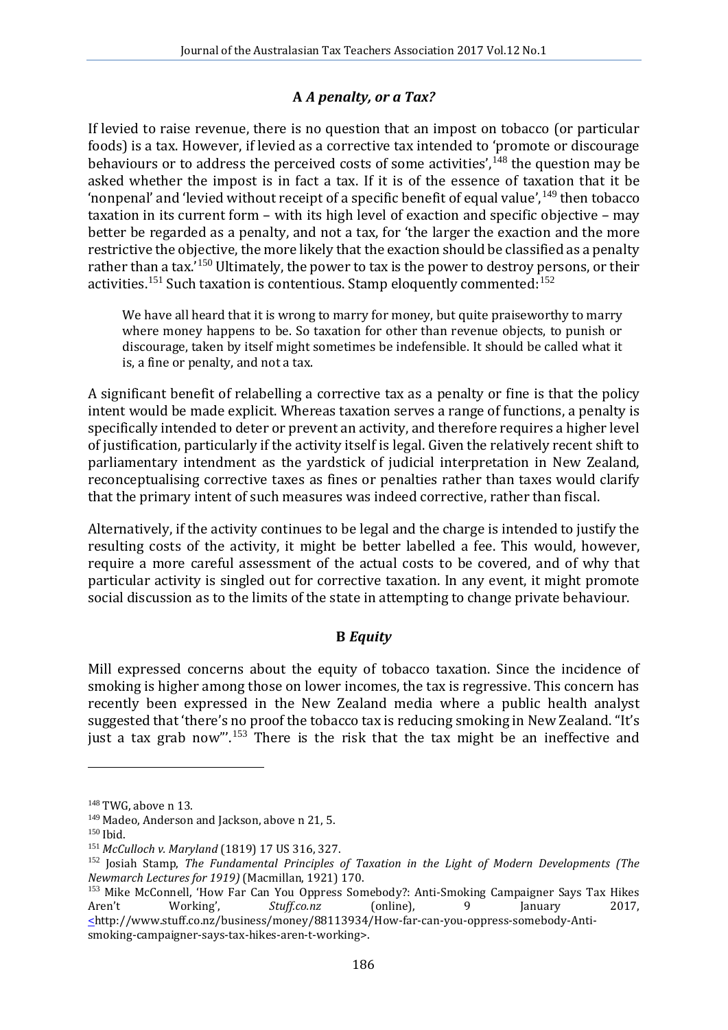# **A** *A penalty, or a Tax?*

If levied to raise revenue, there is no question that an impost on tobacco (or particular foods) is a tax. However, if levied as a corrective tax intended to 'promote or discourage behaviours or to address the perceived costs of some activities', $148$  the question may be asked whether the impost is in fact a tax. If it is of the essence of taxation that it be 'nonpenal' and 'levied without receipt of a specific benefit of equal value', <sup>[149](#page-20-1)</sup> then tobacco taxation in its current form – with its high level of exaction and specific objective – may better be regarded as a penalty, and not a tax, for 'the larger the exaction and the more restrictive the objective, the more likely that the exaction should be classified as a penalty rather than a tax.'<sup>[150](#page-20-2)</sup> Ultimately, the power to tax is the power to destroy persons, or their activities.<sup>[151](#page-20-3)</sup> Such taxation is contentious. Stamp eloquently commented:<sup>[152](#page-20-4)</sup>

We have all heard that it is wrong to marry for money, but quite praiseworthy to marry where money happens to be. So taxation for other than revenue objects, to punish or discourage, taken by itself might sometimes be indefensible. It should be called what it is, a fine or penalty, and not a tax.

A significant benefit of relabelling a corrective tax as a penalty or fine is that the policy intent would be made explicit. Whereas taxation serves a range of functions, a penalty is specifically intended to deter or prevent an activity, and therefore requires a higher level of justification, particularly if the activity itself is legal. Given the relatively recent shift to parliamentary intendment as the yardstick of judicial interpretation in New Zealand, reconceptualising corrective taxes as fines or penalties rather than taxes would clarify that the primary intent of such measures was indeed corrective, rather than fiscal.

Alternatively, if the activity continues to be legal and the charge is intended to justify the resulting costs of the activity, it might be better labelled a fee. This would, however, require a more careful assessment of the actual costs to be covered, and of why that particular activity is singled out for corrective taxation. In any event, it might promote social discussion as to the limits of the state in attempting to change private behaviour.

# **B** *Equity*

Mill expressed concerns about the equity of tobacco taxation. Since the incidence of smoking is higher among those on lower incomes, the tax is regressive. This concern has recently been expressed in the New Zealand media where a public health analyst suggested that 'there's no proof the tobacco tax is reducing smoking in New Zealand. "It's just a tax grab now"'.<sup>[153](#page-20-5)</sup> There is the risk that the tax might be an ineffective and

<span id="page-20-2"></span>

<span id="page-20-4"></span><span id="page-20-3"></span>

<span id="page-20-1"></span><span id="page-20-0"></span><sup>&</sup>lt;sup>148</sup> TWG, above n 13.<br><sup>149</sup> Madeo, Anderson and Jackson, above n 21, 5.<br><sup>150</sup> Ibid.<br><sup>151</sup> McCulloch v. Maryland (1819) 17 US 316, 327.<br><sup>151</sup> Josiah Stamp, *The Fundamental Principles of Taxation in the Light of Modern De* 

<span id="page-20-5"></span><sup>&</sup>lt;sup>153</sup> Mike McConnell, 'How Far Can You Oppress Somebody?: Anti-Smoking Campaigner Says Tax Hikes Aren't Working', Stuff.co.nz (online), 9 January 2017. Aren't Working', *Stuff.co.nz* (online), 9 January 2017,  $\le$ http://www.stuff.co.nz/business/money/88113934/How-far-can-you-oppress-somebody-Antismoking-campaigner-says-tax-hikes-aren-t-working>.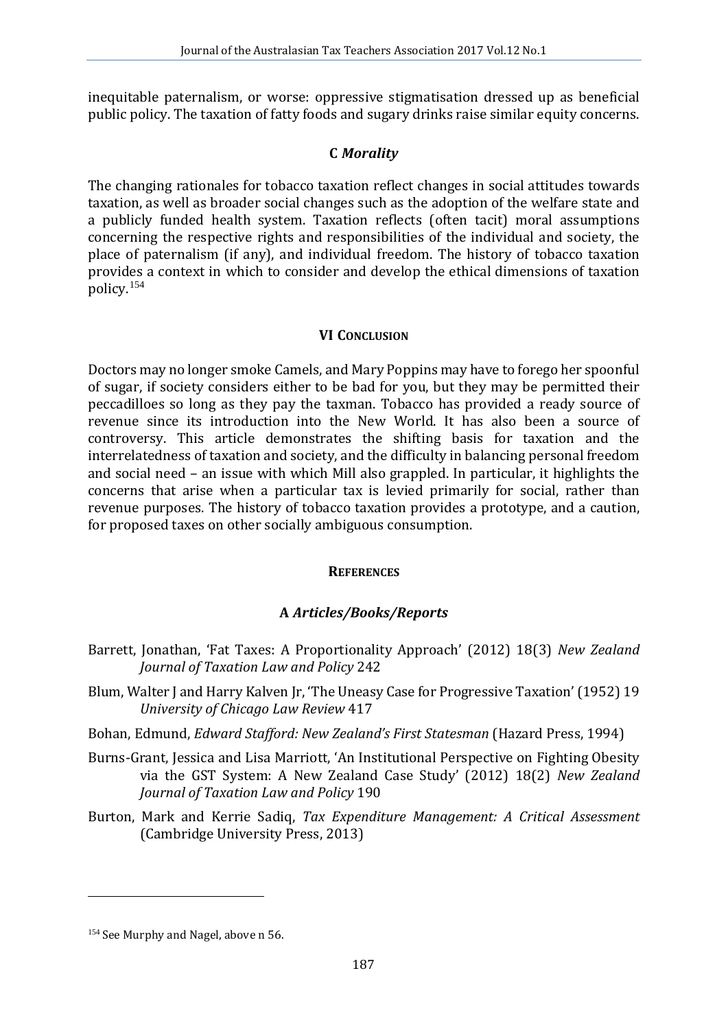inequitable paternalism, or worse: oppressive stigmatisation dressed up as beneficial public policy. The taxation of fatty foods and sugary drinks raise similar equity concerns.

## **C** *Morality*

The changing rationales for tobacco taxation reflect changes in social attitudes towards taxation, as well as broader social changes such as the adoption of the welfare state and a publicly funded health system. Taxation reflects (often tacit) moral assumptions concerning the respective rights and responsibilities of the individual and society, the place of paternalism (if any), and individual freedom. The history of tobacco taxation provides a context in which to consider and develop the ethical dimensions of taxation policy.[154](#page-21-0)

## **VI CONCLUSION**

Doctors may no longer smoke Camels, and Mary Poppins may have to forego her spoonful of sugar, if society considers either to be bad for you, but they may be permitted their peccadilloes so long as they pay the taxman. Tobacco has provided a ready source of revenue since its introduction into the New World. It has also been a source of controversy. This article demonstrates the shifting basis for taxation and the interrelatedness of taxation and society, and the difficulty in balancing personal freedom and social need – an issue with which Mill also grappled. In particular, it highlights the concerns that arise when a particular tax is levied primarily for social, rather than revenue purposes. The history of tobacco taxation provides a prototype, and a caution, for proposed taxes on other socially ambiguous consumption.

### **REFERENCES**

## **A** *Articles/Books/Reports*

- Barrett, Jonathan, 'Fat Taxes: A Proportionality Approach' (2012) 18(3) *New Zealand Journal of Taxation Law and Policy* 242
- Blum, Walter J and Harry Kalven Jr, 'The Uneasy Case for Progressive Taxation' (1952) 19 *University of Chicago Law Review* 417
- Bohan, Edmund, *Edward Stafford: New Zealand's First Statesman* (Hazard Press, 1994)
- Burns-Grant, Jessica and Lisa Marriott, 'An Institutional Perspective on Fighting Obesity via the GST System: A New Zealand Case Study' (2012) 18(2) *New Zealand Journal of Taxation Law and Policy* 190
- Burton, Mark and Kerrie Sadiq, *Tax Expenditure Management: A Critical Assessment* (Cambridge University Press, 2013)

<span id="page-21-0"></span><sup>&</sup>lt;sup>154</sup> See Murphy and Nagel, above n 56.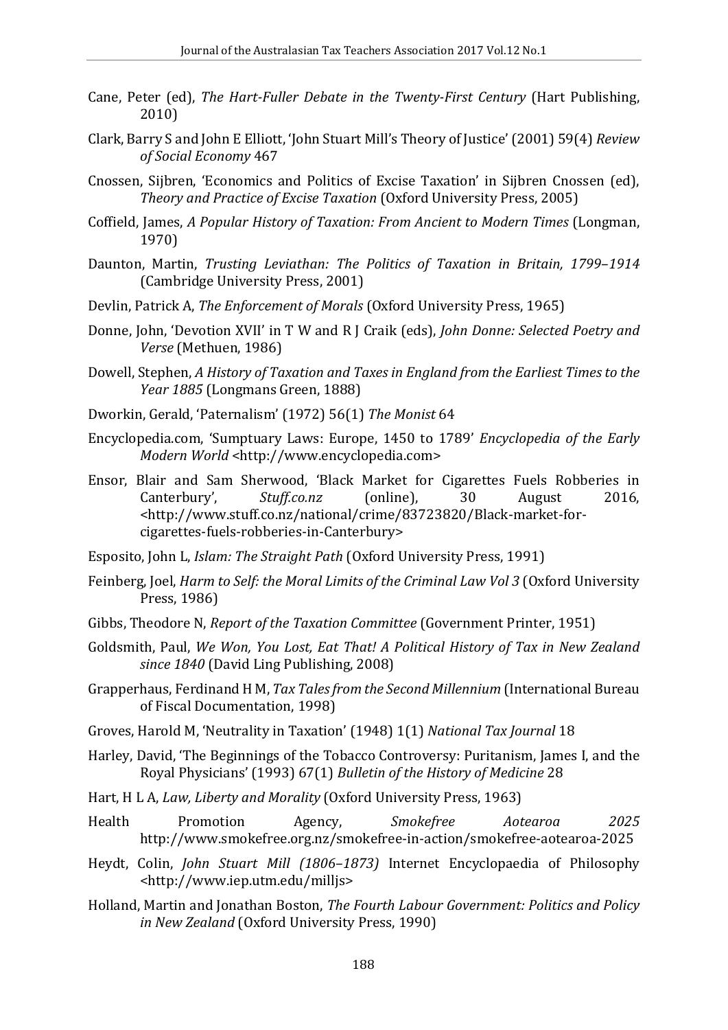- Cane, Peter (ed), *The Hart-Fuller Debate in the Twenty-First Century* (Hart Publishing, 2010)
- Clark, Barry S and John E Elliott, 'John Stuart Mill's Theory of Justice' (2001) 59(4) *Review of Social Economy* 467
- Cnossen, Sijbren, 'Economics and Politics of Excise Taxation' in Sijbren Cnossen (ed), *Theory and Practice of Excise Taxation* (Oxford University Press, 2005)
- Coffield, James, *A Popular History of Taxation: From Ancient to Modern Times* (Longman, 1970)
- Daunton, Martin, *Trusting Leviathan: The Politics of Taxation in Britain, 1799*–*1914* (Cambridge University Press, 2001)
- Devlin, Patrick A, *The Enforcement of Morals* (Oxford University Press, 1965)
- Donne, John, 'Devotion XVII' in T W and R J Craik (eds), *John Donne: Selected Poetry and Verse* (Methuen, 1986)
- Dowell, Stephen, *A History of Taxation and Taxes in England from the Earliest Times to the Year 1885* (Longmans Green, 1888)
- Dworkin, Gerald, 'Paternalism' (1972) 56(1) *The Monist* 64
- Encyclopedia.com, 'Sumptuary Laws: Europe, 1450 to 1789' *Encyclopedia of the Early Modern World* <http://www.encyclopedia.com>
- Ensor, Blair and Sam Sherwood, 'Black Market for Cigarettes Fuels Robberies in Canterbury', Stuff.co.nz (online), 30 August 2016, Canterbury', *Stuff.co.nz* (online), 30 August 2016, <http://www.stuff.co.nz/national/crime/83723820/Black-market-forcigarettes-fuels-robberies-in-Canterbury>
- Esposito, John L, *Islam: The Straight Path* (Oxford University Press, 1991)
- Feinberg, Joel, *Harm to Self: the Moral Limits of the Criminal Law Vol 3* (Oxford University Press, 1986)
- Gibbs, Theodore N, *Report of the Taxation Committee* (Government Printer, 1951)
- Goldsmith, Paul, *We Won, You Lost, Eat That! A Political History of Tax in New Zealand since 1840* (David Ling Publishing, 2008)
- Grapperhaus, Ferdinand H M, *Tax Tales from the Second Millennium* (International Bureau of Fiscal Documentation, 1998)
- Groves, Harold M, 'Neutrality in Taxation' (1948) 1(1) *National Tax Journal* 18
- Harley, David, 'The Beginnings of the Tobacco Controversy: Puritanism, James I, and the Royal Physicians' (1993) 67(1) *Bulletin of the History of Medicine* 28
- Hart, H L A, *Law, Liberty and Morality* (Oxford University Press, 1963)
- Health Promotion Agency, *Smokefree Aotearoa 2025* http://www.smokefree.org.nz/smokefree-in-action/smokefree-aotearoa-2025
- Heydt, Colin, *John Stuart Mill (1806*–*1873)* Internet Encyclopaedia of Philosophy <http://www.iep.utm.edu/milljs>
- Holland, Martin and Jonathan Boston, *The Fourth Labour Government: Politics and Policy in New Zealand* (Oxford University Press, 1990)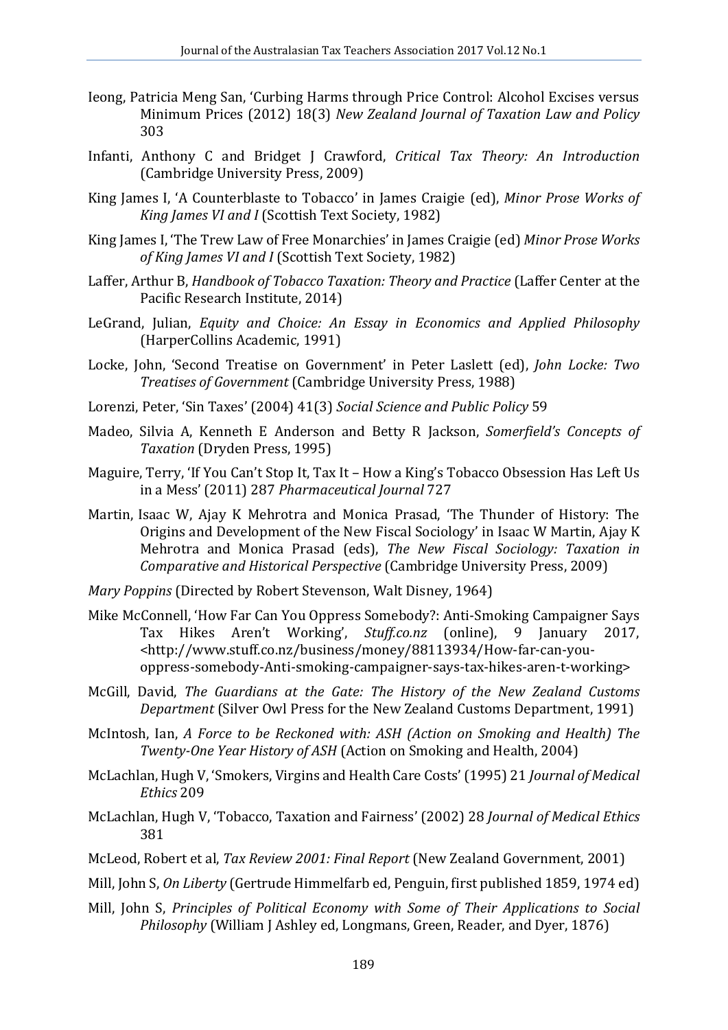- Ieong, Patricia Meng San, 'Curbing Harms through Price Control: Alcohol Excises versus Minimum Prices (2012) 18(3) *New Zealand Journal of Taxation Law and Policy* 303
- Infanti, Anthony C and Bridget J Crawford, *Critical Tax Theory: An Introduction* (Cambridge University Press, 2009)
- King James I, 'A Counterblaste to Tobacco' in James Craigie (ed), *Minor Prose Works of King James VI and I* (Scottish Text Society, 1982)
- King James I, 'The Trew Law of Free Monarchies' in James Craigie (ed) *Minor Prose Works of King James VI and I* (Scottish Text Society, 1982)
- Laffer, Arthur B, *Handbook of Tobacco Taxation: Theory and Practice* (Laffer Center at the Pacific Research Institute, 2014)
- LeGrand, Julian, *Equity and Choice: An Essay in Economics and Applied Philosophy* (HarperCollins Academic, 1991)
- Locke, John, 'Second Treatise on Government' in Peter Laslett (ed), *John Locke: Two Treatises of Government* (Cambridge University Press, 1988)
- Lorenzi, Peter, 'Sin Taxes' (2004) 41(3) *Social Science and Public Policy* 59
- Madeo, Silvia A, Kenneth E Anderson and Betty R Jackson, *Somerfield's Concepts of Taxation* (Dryden Press, 1995)
- Maguire, Terry, 'If You Can't Stop It, Tax It How a King's Tobacco Obsession Has Left Us in a Mess' (2011) 287 *Pharmaceutical Journal* 727
- Martin, Isaac W, Ajay K Mehrotra and Monica Prasad, 'The Thunder of History: The Origins and Development of the New Fiscal Sociology' in Isaac W Martin, Ajay K Mehrotra and Monica Prasad (eds), *The New Fiscal Sociology: Taxation in Comparative and Historical Perspective* (Cambridge University Press, 2009)
- *Mary Poppins* (Directed by Robert Stevenson, Walt Disney, 1964)
- Mike McConnell, 'How Far Can You Oppress Somebody?: Anti-Smoking Campaigner Says<br>Tax Hikes Aren't Working', Stuff.co.nz (online), 9 January 2017, Hikes Aren't Working', <http://www.stuff.co.nz/business/money/88113934/How-far-can-youoppress-somebody-Anti-smoking-campaigner-says-tax-hikes-aren-t-working>
- McGill, David, *The Guardians at the Gate: The History of the New Zealand Customs Department* (Silver Owl Press for the New Zealand Customs Department, 1991)
- McIntosh, Ian, *A Force to be Reckoned with: ASH (Action on Smoking and Health) The Twenty-One Year History of ASH* (Action on Smoking and Health, 2004)
- McLachlan, Hugh V, 'Smokers, Virgins and Health Care Costs' (1995) 21 *Journal of Medical Ethics* 209
- McLachlan, Hugh V, 'Tobacco, Taxation and Fairness' (2002) 28 *Journal of Medical Ethics* 381
- McLeod, Robert et al, *Tax Review 2001: Final Report* (New Zealand Government, 2001)
- Mill, John S, *On Liberty* (Gertrude Himmelfarb ed, Penguin, first published 1859, 1974 ed)
- Mill, John S, *Principles of Political Economy with Some of Their Applications to Social Philosophy* (William J Ashley ed, Longmans, Green, Reader, and Dyer, 1876)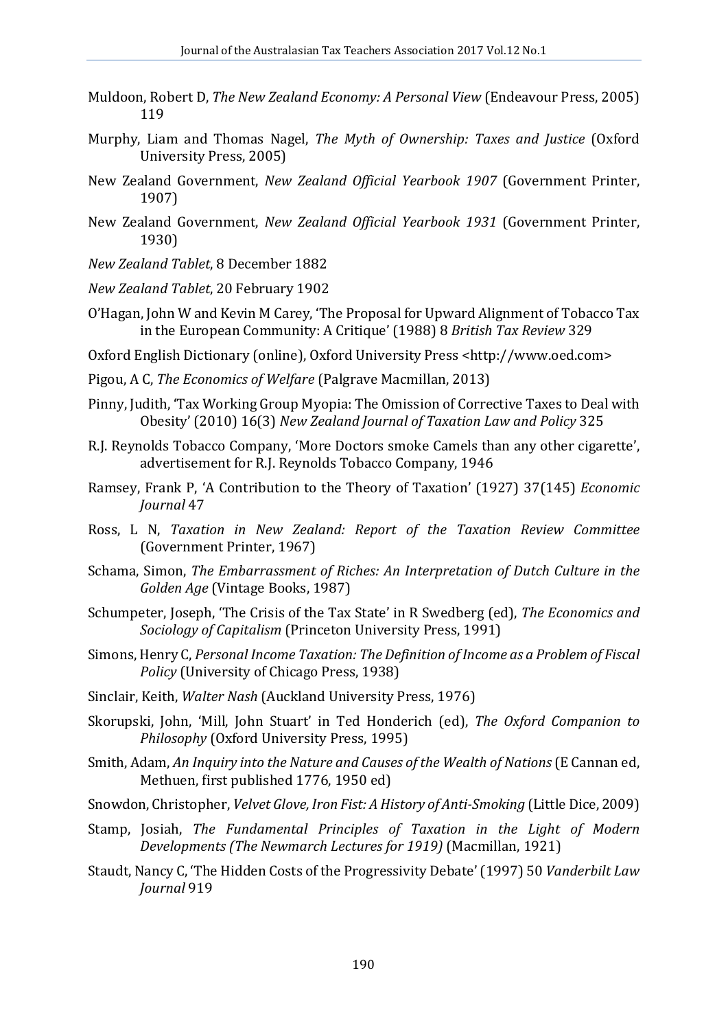- Muldoon, Robert D, *The New Zealand Economy: A Personal View* (Endeavour Press, 2005) 119
- Murphy, Liam and Thomas Nagel, *The Myth of Ownership: Taxes and Justice* (Oxford University Press, 2005)
- New Zealand Government, *New Zealand Official Yearbook 1907* (Government Printer, 1907)
- New Zealand Government, *New Zealand Official Yearbook 1931* (Government Printer, 1930)
- *New Zealand Tablet*, 8 December 1882
- *New Zealand Tablet*, 20 February 1902
- O'Hagan, John W and Kevin M Carey, 'The Proposal for Upward Alignment of Tobacco Tax in the European Community: A Critique' (1988) 8 *British Tax Review* 329
- Oxford English Dictionary (online), Oxford University Press <http://www.oed.com>
- Pigou, A C, *The Economics of Welfare* (Palgrave Macmillan, 2013)
- Pinny, Judith, 'Tax Working Group Myopia: The Omission of Corrective Taxes to Deal with Obesity' (2010) 16(3) *New Zealand Journal of Taxation Law and Policy* 325
- R.J. Reynolds Tobacco Company, 'More Doctors smoke Camels than any other cigarette', advertisement for R.J. Reynolds Tobacco Company, 1946
- Ramsey, Frank P, 'A Contribution to the Theory of Taxation' (1927) 37(145) *Economic Journal* 47
- Ross, L N, *Taxation in New Zealand: Report of the Taxation Review Committee* (Government Printer, 1967)
- Schama, Simon, *The Embarrassment of Riches: An Interpretation of Dutch Culture in the Golden Age* (Vintage Books, 1987)
- Schumpeter, Joseph, 'The Crisis of the Tax State' in R Swedberg (ed), *The Economics and Sociology of Capitalism* (Princeton University Press, 1991)
- Simons, Henry C, *Personal Income Taxation: The Definition of Income as a Problem of Fiscal Policy* (University of Chicago Press, 1938)
- Sinclair, Keith, *Walter Nash* (Auckland University Press, 1976)
- Skorupski, John, 'Mill, John Stuart' in Ted Honderich (ed), *The Oxford Companion to Philosophy* (Oxford University Press, 1995)
- Smith, Adam, *An Inquiry into the Nature and Causes of the Wealth of Nations*(E Cannan ed, Methuen, first published 1776, 1950 ed)
- Snowdon, Christopher, *Velvet Glove, Iron Fist: A History of Anti-Smoking* (Little Dice, 2009)
- Stamp, Josiah, *The Fundamental Principles of Taxation in the Light of Modern Developments (The Newmarch Lectures for 1919)* (Macmillan, 1921)
- Staudt, Nancy C, 'The Hidden Costs of the Progressivity Debate' (1997) 50 *Vanderbilt Law Journal* 919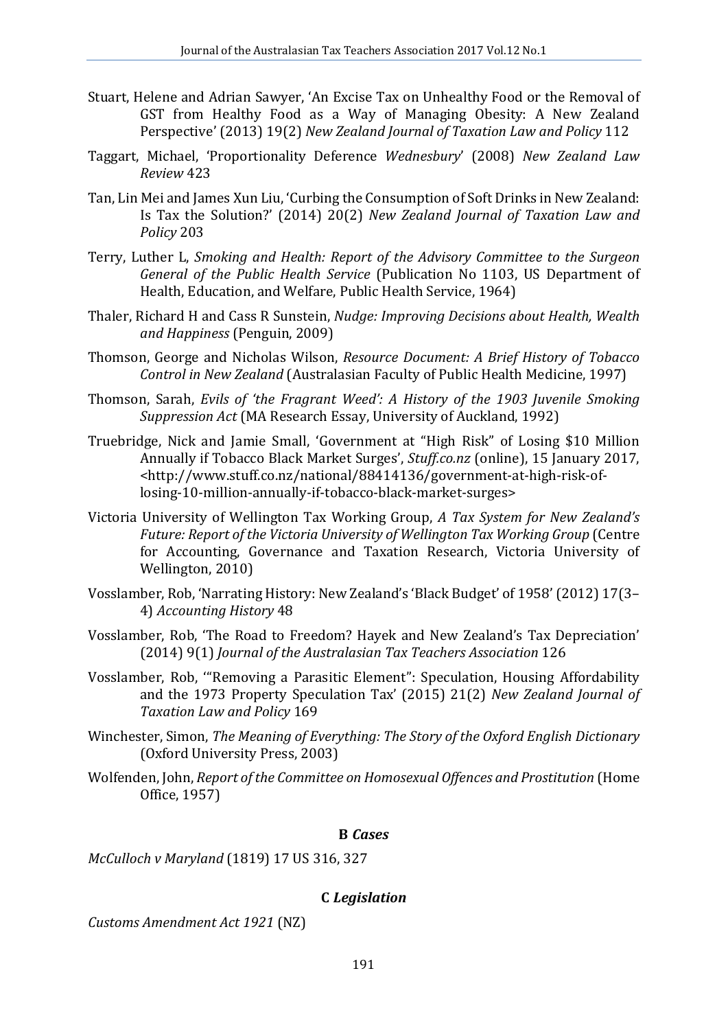- Stuart, Helene and Adrian Sawyer, 'An Excise Tax on Unhealthy Food or the Removal of GST from Healthy Food as a Way of Managing Obesity: A New Zealand Perspective' (2013) 19(2) *New Zealand Journal of Taxation Law and Policy* 112
- Taggart, Michael, 'Proportionality Deference *Wednesbury*' (2008) *New Zealand Law Review* 423
- Tan, Lin Mei and James Xun Liu, 'Curbing the Consumption of Soft Drinks in New Zealand: Is Tax the Solution?' (2014) 20(2) *New Zealand Journal of Taxation Law and Policy* 203
- Terry, Luther L, *Smoking and Health: Report of the Advisory Committee to the Surgeon General of the Public Health Service* (Publication No 1103, US Department of Health, Education, and Welfare, Public Health Service, 1964)
- Thaler, Richard H and Cass R Sunstein, *Nudge: Improving Decisions about Health, Wealth and Happiness* (Penguin, 2009)
- Thomson, George and Nicholas Wilson, *Resource Document: A Brief History of Tobacco Control in New Zealand* (Australasian Faculty of Public Health Medicine, 1997)
- Thomson, Sarah, *Evils of 'the Fragrant Weed': A History of the 1903 Juvenile Smoking Suppression Act* (MA Research Essay, University of Auckland, 1992)
- Truebridge, Nick and Jamie Small, 'Government at "High Risk" of Losing \$10 Million Annually if Tobacco Black Market Surges', *Stuff.co.nz* (online), 15 January 2017, <http://www.stuff.co.nz/national/88414136/government-at-high-risk-oflosing-10-million-annually-if-tobacco-black-market-surges>
- Victoria University of Wellington Tax Working Group, *A Tax System for New Zealand's Future: Report of the Victoria University of Wellington Tax Working Group* (Centre for Accounting, Governance and Taxation Research, Victoria University of Wellington, 2010)
- Vosslamber, Rob, 'Narrating History: New Zealand's 'Black Budget' of 1958' (2012) 17(3– 4) *Accounting History* 48
- Vosslamber, Rob, 'The Road to Freedom? Hayek and New Zealand's Tax Depreciation' (2014) 9(1) *Journal of the Australasian Tax Teachers Association* 126
- Vosslamber, Rob, '"Removing a Parasitic Element": Speculation, Housing Affordability and the 1973 Property Speculation Tax' (2015) 21(2) *New Zealand Journal of Taxation Law and Policy* 169
- Winchester, Simon, *The Meaning of Everything: The Story of the Oxford English Dictionary* (Oxford University Press, 2003)
- Wolfenden, John, *Report of the Committee on Homosexual Offences and Prostitution* (Home Office, 1957)

#### **B** *Cases*

*McCulloch v Maryland* (1819) 17 US 316, 327

#### **C** *Legislation*

*Customs Amendment Act 1921* (NZ)